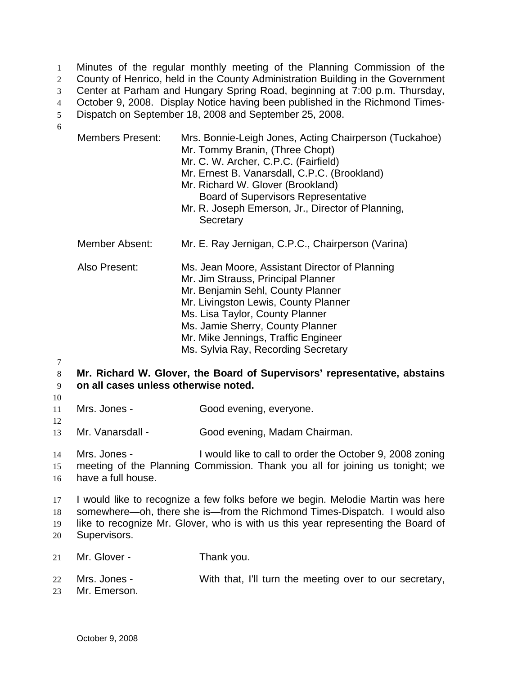Minutes of the regular monthly meeting of the Planning Commission of the County of Henrico, held in the County Administration Building in the Government Center at Parham and Hungary Spring Road, beginning at 7:00 p.m. Thursday, October 9, 2008. Display Notice having been published in the Richmond Times-Dispatch on September 18, 2008 and September 25, 2008. 1 2 3 4 5 6

| <b>Members Present:</b>                                                                                                                                                                                                                                         | Mrs. Bonnie-Leigh Jones, Acting Chairperson (Tuckahoe)<br>Mr. Tommy Branin, (Three Chopt)<br>Mr. C. W. Archer, C.P.C. (Fairfield)<br>Mr. Ernest B. Vanarsdall, C.P.C. (Brookland)<br>Mr. Richard W. Glover (Brookland)<br><b>Board of Supervisors Representative</b><br>Mr. R. Joseph Emerson, Jr., Director of Planning,<br>Secretary |  |
|-----------------------------------------------------------------------------------------------------------------------------------------------------------------------------------------------------------------------------------------------------------------|----------------------------------------------------------------------------------------------------------------------------------------------------------------------------------------------------------------------------------------------------------------------------------------------------------------------------------------|--|
| <b>Member Absent:</b>                                                                                                                                                                                                                                           | Mr. E. Ray Jernigan, C.P.C., Chairperson (Varina)                                                                                                                                                                                                                                                                                      |  |
| Also Present:                                                                                                                                                                                                                                                   | Ms. Jean Moore, Assistant Director of Planning<br>Mr. Jim Strauss, Principal Planner<br>Mr. Benjamin Sehl, County Planner<br>Mr. Livingston Lewis, County Planner<br>Ms. Lisa Taylor, County Planner<br>Ms. Jamie Sherry, County Planner<br>Mr. Mike Jennings, Traffic Engineer<br>Ms. Sylvia Ray, Recording Secretary                 |  |
| Mr. Richard W. Glover, the Board of Supervisors' representative, abstains<br>on all cases unless otherwise noted.                                                                                                                                               |                                                                                                                                                                                                                                                                                                                                        |  |
| Mrs. Jones -                                                                                                                                                                                                                                                    | Good evening, everyone.                                                                                                                                                                                                                                                                                                                |  |
| Mr. Vanarsdall -                                                                                                                                                                                                                                                | Good evening, Madam Chairman.                                                                                                                                                                                                                                                                                                          |  |
| I would like to call to order the October 9, 2008 zoning<br>Mrs. Jones -<br>meeting of the Planning Commission. Thank you all for joining us tonight; we<br>have a full house.                                                                                  |                                                                                                                                                                                                                                                                                                                                        |  |
| I would like to recognize a few folks before we begin. Melodie Martin was here<br>somewhere—oh, there she is—from the Richmond Times-Dispatch. I would also<br>like to recognize Mr. Glover, who is with us this year representing the Board of<br>Supervisors. |                                                                                                                                                                                                                                                                                                                                        |  |
| Mr. Glover -                                                                                                                                                                                                                                                    | Thank you.                                                                                                                                                                                                                                                                                                                             |  |

- 22 Mrs. Jones - With that, I'll turn the meeting over to our secretary,
- 23 Mr. Emerson.

14 15 16

21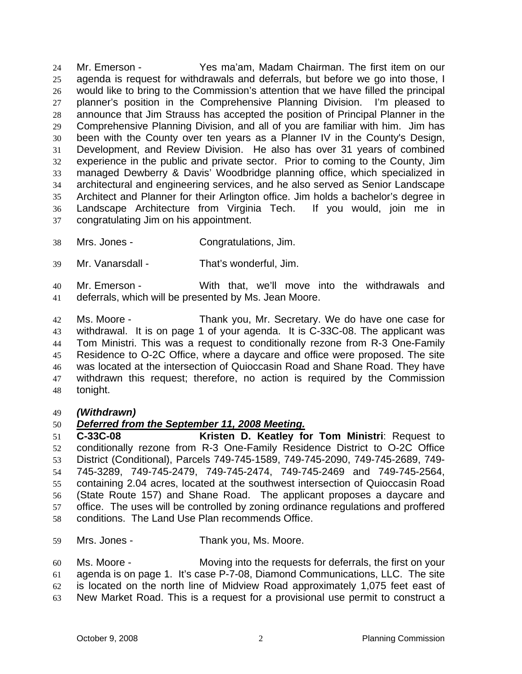Mr. Emerson - Yes ma'am, Madam Chairman. The first item on our agenda is request for withdrawals and deferrals, but before we go into those, I would like to bring to the Commission's attention that we have filled the principal planner's position in the Comprehensive Planning Division. I'm pleased to announce that Jim Strauss has accepted the position of Principal Planner in the Comprehensive Planning Division, and all of you are familiar with him. Jim has been with the County over ten years as a Planner IV in the County's Design, Development, and Review Division. He also has over 31 years of combined experience in the public and private sector. Prior to coming to the County, Jim managed Dewberry & Davis' Woodbridge planning office, which specialized in architectural and engineering services, and he also served as Senior Landscape Architect and Planner for their Arlington office. Jim holds a bachelor's degree in Landscape Architecture from Virginia Tech. If you would, join me in congratulating Jim on his appointment. 24 25 26 27 28 29 30 31 32 33 34 35 36 37

- 38 Mrs. Jones - Congratulations, Jim.
- 39 Mr. Vanarsdall - That's wonderful, Jim.

40 41 Mr. Emerson - With that, we'll move into the withdrawals and deferrals, which will be presented by Ms. Jean Moore.

42 43 44 45 46 47 48 Ms. Moore - Thank you, Mr. Secretary. We do have one case for withdrawal. It is on page 1 of your agenda. It is C-33C-08. The applicant was Tom Ministri. This was a request to conditionally rezone from R-3 One-Family Residence to O-2C Office, where a daycare and office were proposed. The site was located at the intersection of Quioccasin Road and Shane Road. They have withdrawn this request; therefore, no action is required by the Commission tonight.

## 49 *(Withdrawn)*

## 50 *Deferred from the September 11, 2008 Meeting.*

51 52 53 54 55 56 57 58 **C-33C-08 Kristen D. Keatley for Tom Ministri**: Request to conditionally rezone from R-3 One-Family Residence District to O-2C Office District (Conditional), Parcels 749-745-1589, 749-745-2090, 749-745-2689, 749- 745-3289, 749-745-2479, 749-745-2474, 749-745-2469 and 749-745-2564, containing 2.04 acres, located at the southwest intersection of Quioccasin Road (State Route 157) and Shane Road. The applicant proposes a daycare and office. The uses will be controlled by zoning ordinance regulations and proffered conditions. The Land Use Plan recommends Office.

59 Mrs. Jones - Thank you, Ms. Moore.

60 61 62 63 Ms. Moore - Moving into the requests for deferrals, the first on your agenda is on page 1. It's case P-7-08, Diamond Communications, LLC. The site is located on the north line of Midview Road approximately 1,075 feet east of New Market Road. This is a request for a provisional use permit to construct a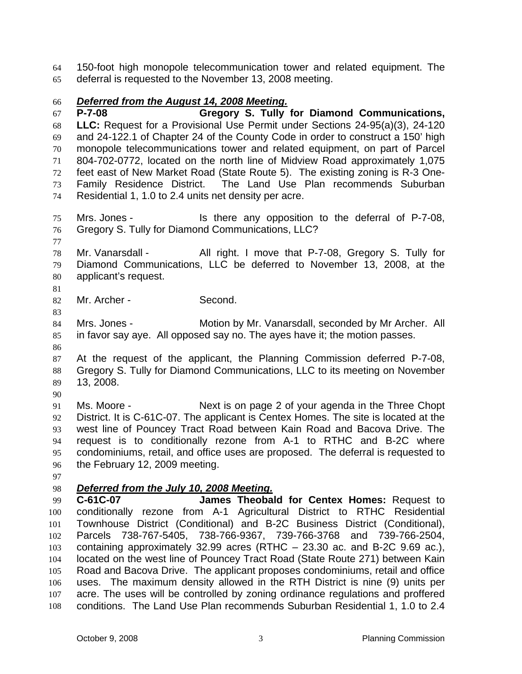150-foot high monopole telecommunication tower and related equipment. The deferral is requested to the November 13, 2008 meeting. 64 65

## *Deferred from the August 14, 2008 Meeting.* 66

**P-7-08 Gregory S. Tully for Diamond Communications, LLC:** Request for a Provisional Use Permit under Sections 24-95(a)(3), 24-120 and 24-122.1 of Chapter 24 of the County Code in order to construct a 150' high monopole telecommunications tower and related equipment, on part of Parcel 804-702-0772, located on the north line of Midview Road approximately 1,075 feet east of New Market Road (State Route 5). The existing zoning is R-3 One-Family Residence District. The Land Use Plan recommends Suburban Residential 1, 1.0 to 2.4 units net density per acre. 67 68 69 70 71 72 73 74

75 76 Mrs. Jones - Is there any opposition to the deferral of P-7-08, Gregory S. Tully for Diamond Communications, LLC?

77

78 79 80 Mr. Vanarsdall - All right. I move that P-7-08, Gregory S. Tully for Diamond Communications, LLC be deferred to November 13, 2008, at the applicant's request.

81

83

82 Mr. Archer - Second.

84 85 86 Mrs. Jones - **Motion by Mr. Vanarsdall, seconded by Mr Archer.** All in favor say aye. All opposed say no. The ayes have it; the motion passes.

87 88 89 At the request of the applicant, the Planning Commission deferred P-7-08, Gregory S. Tully for Diamond Communications, LLC to its meeting on November 13, 2008.

90

91 92 93 94 95 96 Ms. Moore - Next is on page 2 of your agenda in the Three Chopt District. It is C-61C-07. The applicant is Centex Homes. The site is located at the west line of Pouncey Tract Road between Kain Road and Bacova Drive. The request is to conditionally rezone from A-1 to RTHC and B-2C where condominiums, retail, and office uses are proposed. The deferral is requested to the February 12, 2009 meeting.

97

## 98 *Deferred from the July 10, 2008 Meeting.*

99 100 101 102 103 104 105 106 107 108 **C-61C-07 James Theobald for Centex Homes:** Request to conditionally rezone from A-1 Agricultural District to RTHC Residential Townhouse District (Conditional) and B-2C Business District (Conditional), Parcels 738-767-5405, 738-766-9367, 739-766-3768 and 739-766-2504, containing approximately 32.99 acres (RTHC – 23.30 ac. and B-2C 9.69 ac.), located on the west line of Pouncey Tract Road (State Route 271) between Kain Road and Bacova Drive. The applicant proposes condominiums, retail and office uses. The maximum density allowed in the RTH District is nine (9) units per acre. The uses will be controlled by zoning ordinance regulations and proffered conditions. The Land Use Plan recommends Suburban Residential 1, 1.0 to 2.4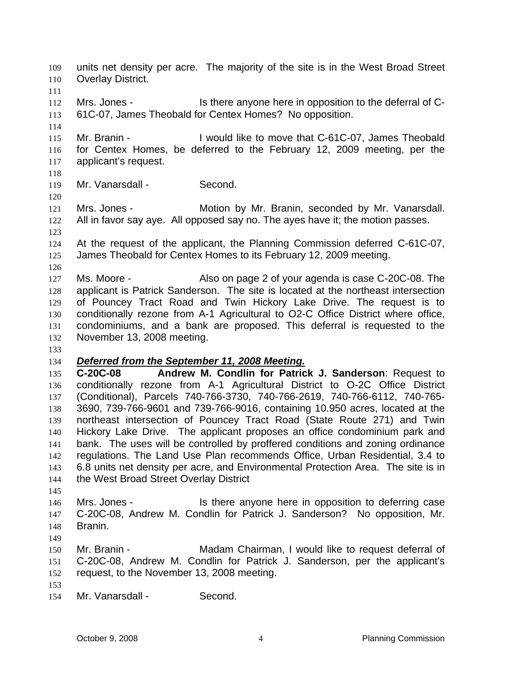113 114 115 116 117 118 119 120 121 122 123 124 125 126 127 128 129 130 131 132 133 61C-07, James Theobald for Centex Homes? No opposition. Mr. Branin - I would like to move that C-61C-07, James Theobald for Centex Homes, be deferred to the February 12, 2009 meeting, per the applicant's request. Mr. Vanarsdall - Second. Mrs. Jones - Motion by Mr. Branin, seconded by Mr. Vanarsdall. All in favor say aye. All opposed say no. The ayes have it; the motion passes. At the request of the applicant, the Planning Commission deferred C-61C-07, James Theobald for Centex Homes to its February 12, 2009 meeting. Ms. Moore - Also on page 2 of your agenda is case C-20C-08. The applicant is Patrick Sanderson. The site is located at the northeast intersection of Pouncey Tract Road and Twin Hickory Lake Drive. The request is to conditionally rezone from A-1 Agricultural to O2-C Office District where office, condominiums, and a bank are proposed. This deferral is requested to the November 13, 2008 meeting. 134 *Deferred from the September 11, 2008 Meeting.* 135 136 137 138 139 140 141 142 143 144 145 146 147 148 149 150 151 152 153 154 **C-20C-08 Andrew M. Condlin for Patrick J. Sanderson**: Request to conditionally rezone from A-1 Agricultural District to O-2C Office District (Conditional), Parcels 740-766-3730, 740-766-2619, 740-766-6112, 740-765- 3690, 739-766-9601 and 739-766-9016, containing 10.950 acres, located at the northeast intersection of Pouncey Tract Road (State Route 271) and Twin Hickory Lake Drive. The applicant proposes an office condominium park and bank. The uses will be controlled by proffered conditions and zoning ordinance regulations. The Land Use Plan recommends Office, Urban Residential, 3.4 to 6.8 units net density per acre, and Environmental Protection Area. The site is in the West Broad Street Overlay District Mrs. Jones - Is there anyone here in opposition to deferring case C-20C-08, Andrew M. Condlin for Patrick J. Sanderson? No opposition, Mr. Branin. Mr. Branin - Madam Chairman, I would like to request deferral of C-20C-08, Andrew M. Condlin for Patrick J. Sanderson, per the applicant's request, to the November 13, 2008 meeting. Mr. Vanarsdall - Second.

units net density per acre. The majority of the site is in the West Broad Street

Mrs. Jones - Is there anyone here in opposition to the deferral of C-

Overlay District.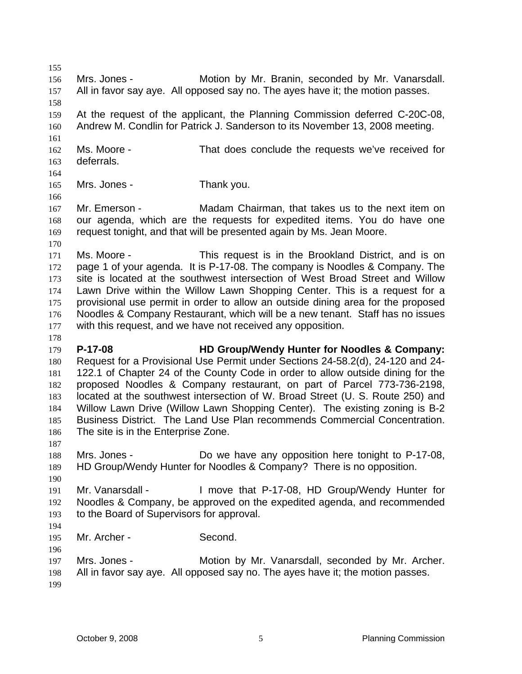155 156 157 158 159 160 161 162 163 164 165 166 167 168 169 170 171 172 173 174 175 176 177 178 179 180 181 182 183 184 185 186 187 188 189 190 191 192 193 194 195 196 197 198 199 Mrs. Jones - **Motion by Mr. Branin, seconded by Mr. Vanarsdall.** All in favor say aye. All opposed say no. The ayes have it; the motion passes. At the request of the applicant, the Planning Commission deferred C-20C-08, Andrew M. Condlin for Patrick J. Sanderson to its November 13, 2008 meeting. Ms. Moore - That does conclude the requests we've received for deferrals. Mrs. Jones - Thank you. Mr. Emerson - Madam Chairman, that takes us to the next item on our agenda, which are the requests for expedited items. You do have one request tonight, and that will be presented again by Ms. Jean Moore. Ms. Moore - This request is in the Brookland District, and is on page 1 of your agenda. It is P-17-08. The company is Noodles & Company. The site is located at the southwest intersection of West Broad Street and Willow Lawn Drive within the Willow Lawn Shopping Center. This is a request for a provisional use permit in order to allow an outside dining area for the proposed Noodles & Company Restaurant, which will be a new tenant. Staff has no issues with this request, and we have not received any opposition. **P-17-08 HD Group/Wendy Hunter for Noodles & Company:** Request for a Provisional Use Permit under Sections 24-58.2(d), 24-120 and 24- 122.1 of Chapter 24 of the County Code in order to allow outside dining for the proposed Noodles & Company restaurant, on part of Parcel 773-736-2198, located at the southwest intersection of W. Broad Street (U. S. Route 250) and Willow Lawn Drive (Willow Lawn Shopping Center). The existing zoning is B-2 Business District. The Land Use Plan recommends Commercial Concentration. The site is in the Enterprise Zone. Mrs. Jones - Do we have any opposition here tonight to P-17-08, HD Group/Wendy Hunter for Noodles & Company? There is no opposition. Mr. Vanarsdall - I move that P-17-08, HD Group/Wendy Hunter for Noodles & Company, be approved on the expedited agenda, and recommended to the Board of Supervisors for approval. Mr. Archer - Second. Mrs. Jones - Motion by Mr. Vanarsdall, seconded by Mr. Archer. All in favor say aye. All opposed say no. The ayes have it; the motion passes.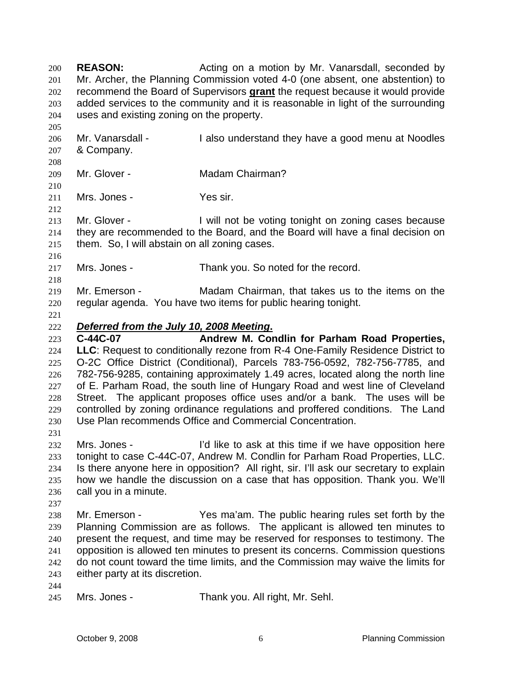**REASON:** Acting on a motion by Mr. Vanarsdall, seconded by Mr. Archer, the Planning Commission voted 4-0 (one absent, one abstention) to recommend the Board of Supervisors **grant** the request because it would provide 200 201 added services to the community and it is reasonable in light of the surrounding uses and existing zoning on the property. 202 203 204 205 206 207 208 209 210 211 212 213 214 215 216 217 218 219 220 221 Mr. Vanarsdall - I also understand they have a good menu at Noodles & Company. Mr. Glover - **Madam Chairman?** Mrs. Jones - Yes sir. Mr. Glover - Twill not be voting tonight on zoning cases because they are recommended to the Board, and the Board will have a final decision on them. So, I will abstain on all zoning cases. Mrs. Jones - Thank you. So noted for the record. Mr. Emerson - Madam Chairman, that takes us to the items on the regular agenda. You have two items for public hearing tonight. 222 *Deferred from the July 10, 2008 Meeting***.** 223 224 225 226 227 228 229 230 231 232 233 234 235 236 237 238 239 240 241 242 243 244 245 **C-44C-07 Andrew M. Condlin for Parham Road Properties, LLC**: Request to conditionally rezone from R-4 One-Family Residence District to O-2C Office District (Conditional), Parcels 783-756-0592, 782-756-7785, and 782-756-9285, containing approximately 1.49 acres, located along the north line of E. Parham Road, the south line of Hungary Road and west line of Cleveland Street. The applicant proposes office uses and/or a bank. The uses will be controlled by zoning ordinance regulations and proffered conditions. The Land Use Plan recommends Office and Commercial Concentration. Mrs. Jones - I'd like to ask at this time if we have opposition here tonight to case C-44C-07, Andrew M. Condlin for Parham Road Properties, LLC. Is there anyone here in opposition? All right, sir. I'll ask our secretary to explain how we handle the discussion on a case that has opposition. Thank you. We'll call you in a minute. Mr. Emerson - The ma'am. The public hearing rules set forth by the Planning Commission are as follows. The applicant is allowed ten minutes to present the request, and time may be reserved for responses to testimony. The opposition is allowed ten minutes to present its concerns. Commission questions do not count toward the time limits, and the Commission may waive the limits for either party at its discretion. Mrs. Jones - Thank you. All right, Mr. Sehl.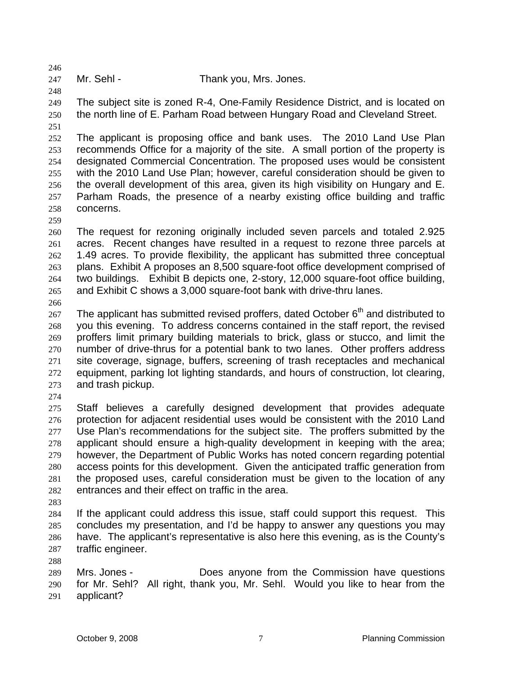247 Mr. Sehl - Thank you, Mrs. Jones.

249 250 The subject site is zoned R-4, One-Family Residence District, and is located on the north line of E. Parham Road between Hungary Road and Cleveland Street.

251

246

248

252 253 254 255 256 257 258 The applicant is proposing office and bank uses. The 2010 Land Use Plan recommends Office for a majority of the site. A small portion of the property is designated Commercial Concentration. The proposed uses would be consistent with the 2010 Land Use Plan; however, careful consideration should be given to the overall development of this area, given its high visibility on Hungary and E. Parham Roads, the presence of a nearby existing office building and traffic concerns.

260 261 262 263 264 265 The request for rezoning originally included seven parcels and totaled 2.925 acres. Recent changes have resulted in a request to rezone three parcels at 1.49 acres. To provide flexibility, the applicant has submitted three conceptual plans. Exhibit A proposes an 8,500 square-foot office development comprised of two buildings. Exhibit B depicts one, 2-story, 12,000 square-foot office building, and Exhibit C shows a 3,000 square-foot bank with drive-thru lanes.

266

259

267 268 269 270 271 272 273 The applicant has submitted revised proffers, dated October  $6<sup>th</sup>$  and distributed to you this evening. To address concerns contained in the staff report, the revised proffers limit primary building materials to brick, glass or stucco, and limit the number of drive-thrus for a potential bank to two lanes. Other proffers address site coverage, signage, buffers, screening of trash receptacles and mechanical equipment, parking lot lighting standards, and hours of construction, lot clearing, and trash pickup.

274

275 276 277 278 279 280 281 282 Staff believes a carefully designed development that provides adequate protection for adjacent residential uses would be consistent with the 2010 Land Use Plan's recommendations for the subject site. The proffers submitted by the applicant should ensure a high-quality development in keeping with the area; however, the Department of Public Works has noted concern regarding potential access points for this development. Given the anticipated traffic generation from the proposed uses, careful consideration must be given to the location of any entrances and their effect on traffic in the area.

283

288

284 285 286 287 If the applicant could address this issue, staff could support this request. This concludes my presentation, and I'd be happy to answer any questions you may have. The applicant's representative is also here this evening, as is the County's traffic engineer.

289 290 291 Mrs. Jones - Does anyone from the Commission have questions for Mr. Sehl? All right, thank you, Mr. Sehl. Would you like to hear from the applicant?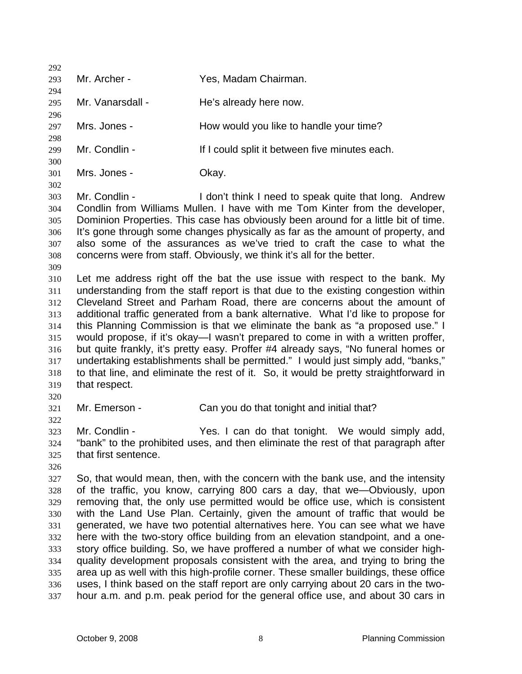292 293 294 295 296 297 298 299 300 301 302 303 304 305 306 307 308 309 310 311 312 313 314 315 316 317 318 319 320 321 322 323 324 325 326 327 328 329 330 331 332 333 334 335 336 337 Mr. Archer - Yes, Madam Chairman. Mr. Vanarsdall - He's already here now. Mrs. Jones - The Mow would you like to handle your time? Mr. Condlin - The Muslim of I could split it between five minutes each. Mrs. Jones - Ckay. Mr. Condlin - The Muslim Con't think I need to speak quite that long. Andrew Condlin from Williams Mullen. I have with me Tom Kinter from the developer, Dominion Properties. This case has obviously been around for a little bit of time. It's gone through some changes physically as far as the amount of property, and also some of the assurances as we've tried to craft the case to what the concerns were from staff. Obviously, we think it's all for the better. Let me address right off the bat the use issue with respect to the bank. My understanding from the staff report is that due to the existing congestion within Cleveland Street and Parham Road, there are concerns about the amount of additional traffic generated from a bank alternative. What I'd like to propose for this Planning Commission is that we eliminate the bank as "a proposed use." I would propose, if it's okay—I wasn't prepared to come in with a written proffer, but quite frankly, it's pretty easy. Proffer #4 already says, "No funeral homes or undertaking establishments shall be permitted." I would just simply add, "banks," to that line, and eliminate the rest of it. So, it would be pretty straightforward in that respect. Mr. Emerson - Can you do that tonight and initial that? Mr. Condlin - The Yes. I can do that tonight. We would simply add, "bank" to the prohibited uses, and then eliminate the rest of that paragraph after that first sentence. So, that would mean, then, with the concern with the bank use, and the intensity of the traffic, you know, carrying 800 cars a day, that we—Obviously, upon removing that, the only use permitted would be office use, which is consistent with the Land Use Plan. Certainly, given the amount of traffic that would be generated, we have two potential alternatives here. You can see what we have here with the two-story office building from an elevation standpoint, and a onestory office building. So, we have proffered a number of what we consider highquality development proposals consistent with the area, and trying to bring the area up as well with this high-profile corner. These smaller buildings, these office uses, I think based on the staff report are only carrying about 20 cars in the twohour a.m. and p.m. peak period for the general office use, and about 30 cars in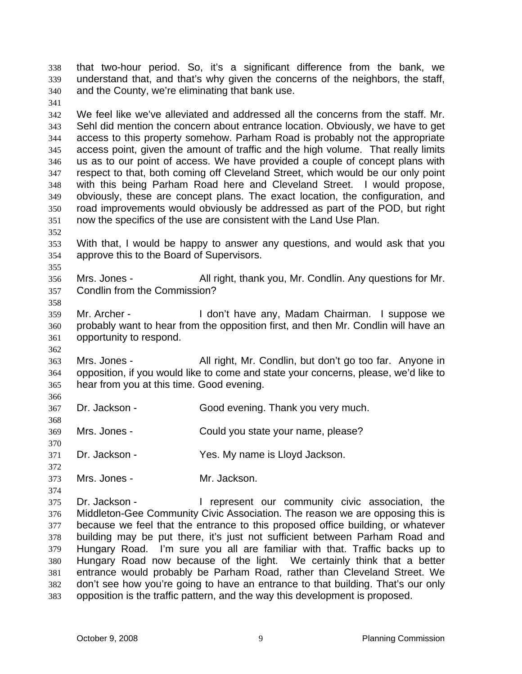that two-hour period. So, it's a significant difference from the bank, we understand that, and that's why given the concerns of the neighbors, the staff, and the County, we're eliminating that bank use. 338 339 340

342 343 344 345 346 347 348 349 350 351 We feel like we've alleviated and addressed all the concerns from the staff. Mr. Sehl did mention the concern about entrance location. Obviously, we have to get access to this property somehow. Parham Road is probably not the appropriate access point, given the amount of traffic and the high volume. That really limits us as to our point of access. We have provided a couple of concept plans with respect to that, both coming off Cleveland Street, which would be our only point with this being Parham Road here and Cleveland Street. I would propose, obviously, these are concept plans. The exact location, the configuration, and road improvements would obviously be addressed as part of the POD, but right now the specifics of the use are consistent with the Land Use Plan.

352

355

358

362

366

368

370

374

341

- 353 354 With that, I would be happy to answer any questions, and would ask that you approve this to the Board of Supervisors.
- 356 357 Mrs. Jones - All right, thank you, Mr. Condlin. Any questions for Mr. Condlin from the Commission?
- 359 360 361 Mr. Archer - The Music Hidon't have any, Madam Chairman. I suppose we probably want to hear from the opposition first, and then Mr. Condlin will have an opportunity to respond.
- 363 364 365 Mrs. Jones - All right, Mr. Condlin, but don't go too far. Anyone in opposition, if you would like to come and state your concerns, please, we'd like to hear from you at this time. Good evening.
- 367 Dr. Jackson - Good evening. Thank you very much.
- 369 Mrs. Jones - Could you state your name, please?
- 371 Dr. Jackson - Yes. My name is Lloyd Jackson.
- 372 373 Mrs. Jones - Mr. Jackson.
- 375 376 377 378 379 380 381 382 383 Dr. Jackson - The Present our community civic association, the Middleton-Gee Community Civic Association. The reason we are opposing this is because we feel that the entrance to this proposed office building, or whatever building may be put there, it's just not sufficient between Parham Road and Hungary Road. I'm sure you all are familiar with that. Traffic backs up to Hungary Road now because of the light. We certainly think that a better entrance would probably be Parham Road, rather than Cleveland Street. We don't see how you're going to have an entrance to that building. That's our only opposition is the traffic pattern, and the way this development is proposed.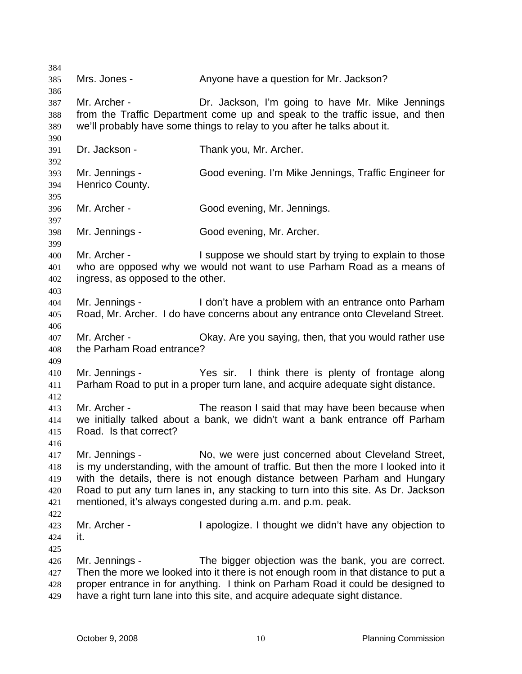384 385 386 387 388 389 390 391 392 393 394 395 396 397 398 399 400 401 402 403 404 405 406 407 408 409 410 411 412 413 414 415 416 417 418 419 420 421 422 423 424 425 426 427 428 429 Mrs. Jones - Anyone have a question for Mr. Jackson? Mr. Archer - **Dr.** Jackson, I'm going to have Mr. Mike Jennings from the Traffic Department come up and speak to the traffic issue, and then we'll probably have some things to relay to you after he talks about it. Dr. Jackson - Thank you, Mr. Archer. Mr. Jennings - Good evening. I'm Mike Jennings, Traffic Engineer for Henrico County. Mr. Archer - Good evening, Mr. Jennings. Mr. Jennings - Good evening, Mr. Archer. Mr. Archer - The Suppose we should start by trying to explain to those who are opposed why we would not want to use Parham Road as a means of ingress, as opposed to the other. Mr. Jennings - I don't have a problem with an entrance onto Parham Road, Mr. Archer. I do have concerns about any entrance onto Cleveland Street. Mr. Archer - Chay. Are you saying, then, that you would rather use the Parham Road entrance? Mr. Jennings - Yes sir. I think there is plenty of frontage along Parham Road to put in a proper turn lane, and acquire adequate sight distance. Mr. Archer - The reason I said that may have been because when we initially talked about a bank, we didn't want a bank entrance off Parham Road. Is that correct? Mr. Jennings - No, we were just concerned about Cleveland Street, is my understanding, with the amount of traffic. But then the more I looked into it with the details, there is not enough distance between Parham and Hungary Road to put any turn lanes in, any stacking to turn into this site. As Dr. Jackson mentioned, it's always congested during a.m. and p.m. peak. Mr. Archer - I apologize. I thought we didn't have any objection to it. Mr. Jennings - The bigger objection was the bank, you are correct. Then the more we looked into it there is not enough room in that distance to put a proper entrance in for anything. I think on Parham Road it could be designed to have a right turn lane into this site, and acquire adequate sight distance.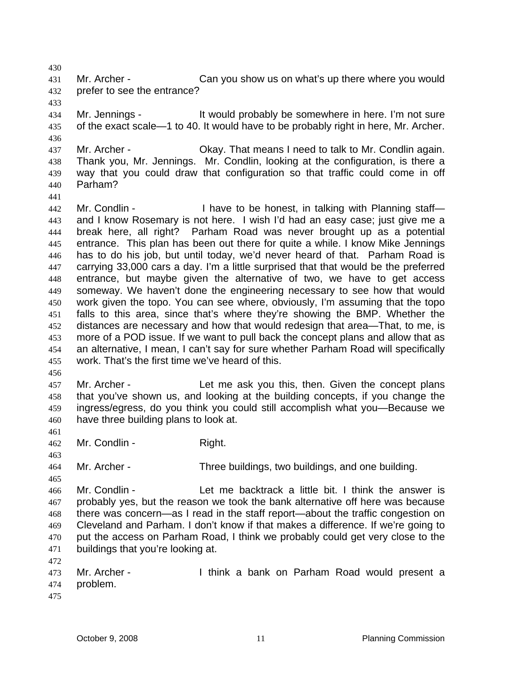431 432 Mr. Archer - Can you show us on what's up there where you would prefer to see the entrance?

434 435 Mr. Jennings - The Muslim brobably be somewhere in here. I'm not sure of the exact scale—1 to 40. It would have to be probably right in here, Mr. Archer.

437 438 439 440 Mr. Archer - Chay. That means I need to talk to Mr. Condlin again. Thank you, Mr. Jennings. Mr. Condlin, looking at the configuration, is there a way that you could draw that configuration so that traffic could come in off Parham?

441

430

433

436

442 443 444 445 446 447 448 449 450 451 452 453 454 455 Mr. Condlin - Thave to be honest, in talking with Planning staff and I know Rosemary is not here. I wish I'd had an easy case; just give me a break here, all right? Parham Road was never brought up as a potential entrance. This plan has been out there for quite a while. I know Mike Jennings has to do his job, but until today, we'd never heard of that. Parham Road is carrying 33,000 cars a day. I'm a little surprised that that would be the preferred entrance, but maybe given the alternative of two, we have to get access someway. We haven't done the engineering necessary to see how that would work given the topo. You can see where, obviously, I'm assuming that the topo falls to this area, since that's where they're showing the BMP. Whether the distances are necessary and how that would redesign that area—That, to me, is more of a POD issue. If we want to pull back the concept plans and allow that as an alternative, I mean, I can't say for sure whether Parham Road will specifically work. That's the first time we've heard of this.

456

457 458 459 460 Mr. Archer - Let me ask you this, then. Given the concept plans that you've shown us, and looking at the building concepts, if you change the ingress/egress, do you think you could still accomplish what you—Because we have three building plans to look at.

461

463

465

462 Mr. Condlin - Right.

464 Mr. Archer - Three buildings, two buildings, and one building.

466 467 468 469 470 471 Mr. Condlin - Let me backtrack a little bit. I think the answer is probably yes, but the reason we took the bank alternative off here was because there was concern—as I read in the staff report—about the traffic congestion on Cleveland and Parham. I don't know if that makes a difference. If we're going to put the access on Parham Road, I think we probably could get very close to the buildings that you're looking at.

472

473 474 Mr. Archer - I think a bank on Parham Road would present a problem.

475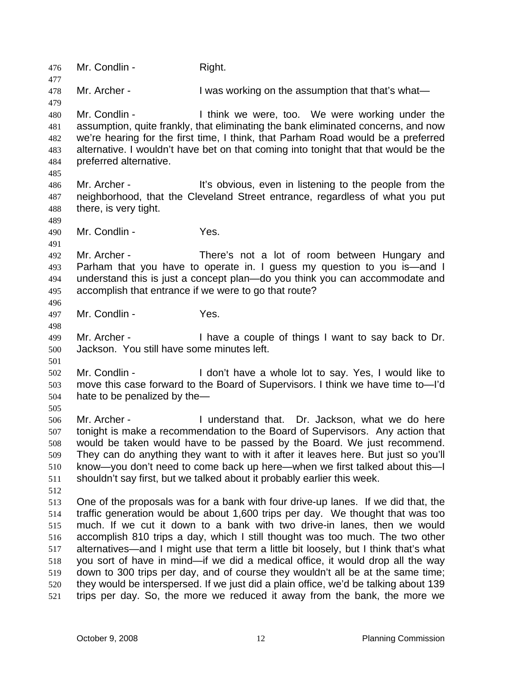476 Mr. Condlin - Right. 477 478 479 480 481 482 483 484 485 486 487 488 489 490 491 492 493 494 495 496 497 498 499 500 501 502 503 504 505 506 507 508 509 510 511 512 513 514 515 516 517 518 519 520 521 Mr. Archer - The State of the assumption that that's what— Mr. Condlin - I think we were, too. We were working under the assumption, quite frankly, that eliminating the bank eliminated concerns, and now we're hearing for the first time, I think, that Parham Road would be a preferred alternative. I wouldn't have bet on that coming into tonight that that would be the preferred alternative. Mr. Archer - The It's obvious, even in listening to the people from the neighborhood, that the Cleveland Street entrance, regardless of what you put there, is very tight. Mr. Condlin - Yes. Mr. Archer - There's not a lot of room between Hungary and Parham that you have to operate in. I guess my question to you is—and I understand this is just a concept plan—do you think you can accommodate and accomplish that entrance if we were to go that route? Mr. Condlin - Yes. Mr. Archer - I have a couple of things I want to say back to Dr. Jackson. You still have some minutes left. Mr. Condlin - The State of the U don't have a whole lot to say. Yes, I would like to move this case forward to the Board of Supervisors. I think we have time to—I'd hate to be penalized by the— Mr. Archer - I understand that. Dr. Jackson, what we do here tonight is make a recommendation to the Board of Supervisors. Any action that would be taken would have to be passed by the Board. We just recommend. They can do anything they want to with it after it leaves here. But just so you'll know—you don't need to come back up here—when we first talked about this—I shouldn't say first, but we talked about it probably earlier this week. One of the proposals was for a bank with four drive-up lanes. If we did that, the traffic generation would be about 1,600 trips per day. We thought that was too much. If we cut it down to a bank with two drive-in lanes, then we would accomplish 810 trips a day, which I still thought was too much. The two other alternatives—and I might use that term a little bit loosely, but I think that's what you sort of have in mind—if we did a medical office, it would drop all the way down to 300 trips per day, and of course they wouldn't all be at the same time; they would be interspersed. If we just did a plain office, we'd be talking about 139 trips per day. So, the more we reduced it away from the bank, the more we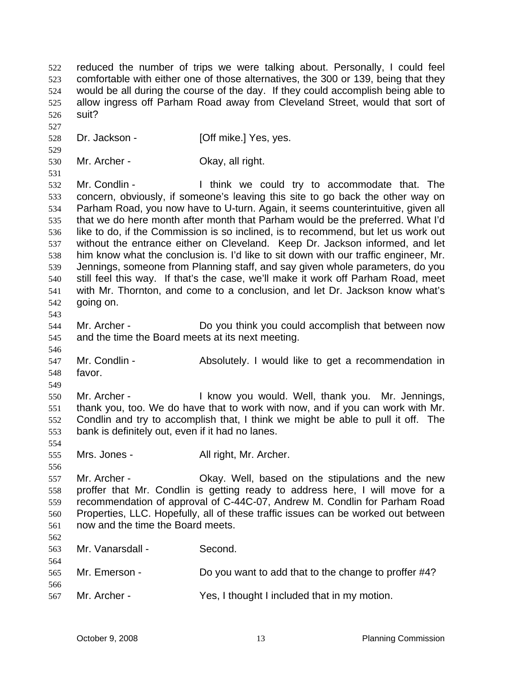reduced the number of trips we were talking about. Personally, I could feel comfortable with either one of those alternatives, the 300 or 139, being that they would be all during the course of the day. If they could accomplish being able to allow ingress off Parham Road away from Cleveland Street, would that sort of suit? 522 523 524 525 526 527 528 529 530 531 532 533 534 535 536 537 538 539 540 541 542 543 544 545 546 547 548 549 550 551 552 553 554 555 556 557 558 559 560 561 562 563 564 565 566 567 Dr. Jackson - **[Off mike.]** Yes, yes. Mr. Archer - Ckay, all right. Mr. Condlin - I think we could try to accommodate that. The concern, obviously, if someone's leaving this site to go back the other way on Parham Road, you now have to U-turn. Again, it seems counterintuitive, given all that we do here month after month that Parham would be the preferred. What I'd like to do, if the Commission is so inclined, is to recommend, but let us work out without the entrance either on Cleveland. Keep Dr. Jackson informed, and let him know what the conclusion is. I'd like to sit down with our traffic engineer, Mr. Jennings, someone from Planning staff, and say given whole parameters, do you still feel this way. If that's the case, we'll make it work off Parham Road, meet with Mr. Thornton, and come to a conclusion, and let Dr. Jackson know what's going on. Mr. Archer - Do you think you could accomplish that between now and the time the Board meets at its next meeting. Mr. Condlin - Absolutely. I would like to get a recommendation in favor. Mr. Archer - I know you would. Well, thank you. Mr. Jennings, thank you, too. We do have that to work with now, and if you can work with Mr. Condlin and try to accomplish that, I think we might be able to pull it off. The bank is definitely out, even if it had no lanes. Mrs. Jones - **All right, Mr. Archer.** Mr. Archer - Okay. Well, based on the stipulations and the new proffer that Mr. Condlin is getting ready to address here, I will move for a recommendation of approval of C-44C-07, Andrew M. Condlin for Parham Road Properties, LLC. Hopefully, all of these traffic issues can be worked out between now and the time the Board meets. Mr. Vanarsdall - Second. Mr. Emerson - Do you want to add that to the change to proffer #4? Mr. Archer - Yes, I thought I included that in my motion.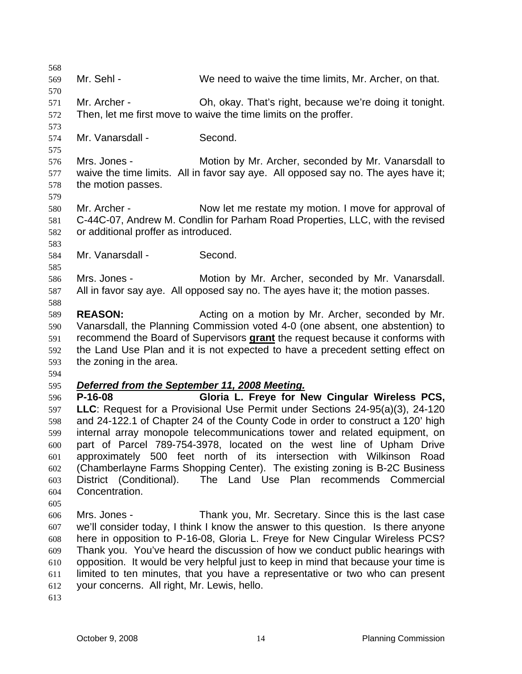568 569 570 571 572 573 574 575 576 577 578 579 580 581 582 583 584 585 586 587 588 589 590 Mr. Sehl - We need to waive the time limits, Mr. Archer, on that. Mr. Archer - Oh, okay. That's right, because we're doing it tonight. Then, let me first move to waive the time limits on the proffer. Mr. Vanarsdall - Second. Mrs. Jones - Motion by Mr. Archer, seconded by Mr. Vanarsdall to waive the time limits. All in favor say aye. All opposed say no. The ayes have it; the motion passes. Mr. Archer - Now let me restate my motion. I move for approval of C-44C-07, Andrew M. Condlin for Parham Road Properties, LLC, with the revised or additional proffer as introduced. Mr. Vanarsdall - Second. Mrs. Jones - **Motion by Mr. Archer, seconded by Mr. Vanarsdall.** All in favor say aye. All opposed say no. The ayes have it; the motion passes. **REASON:** Acting on a motion by Mr. Archer, seconded by Mr. Vanarsdall, the Planning Commission voted 4-0 (one absent, one abstention) to recommend the Board of Supervisors **grant** the request because it conforms with the Land Use Plan and it is not expected to have a precedent setting effect on the zoning in the area. 591 592 593 594 595 *Deferred from the September 11, 2008 Meeting.* 596 597 598 599 600 601 602 603 604 605 606 607 608 609 610 611 612 613 **P-16-08 Gloria L. Freye for New Cingular Wireless PCS, LLC**: Request for a Provisional Use Permit under Sections 24-95(a)(3), 24-120 and 24-122.1 of Chapter 24 of the County Code in order to construct a 120' high internal array monopole telecommunications tower and related equipment, on part of Parcel 789-754-3978, located on the west line of Upham Drive approximately 500 feet north of its intersection with Wilkinson Road (Chamberlayne Farms Shopping Center). The existing zoning is B-2C Business District (Conditional). The Land Use Plan recommends Commercial Concentration. Mrs. Jones - Thank you, Mr. Secretary. Since this is the last case we'll consider today, I think I know the answer to this question. Is there anyone here in opposition to P-16-08, Gloria L. Freye for New Cingular Wireless PCS? Thank you. You've heard the discussion of how we conduct public hearings with opposition. It would be very helpful just to keep in mind that because your time is limited to ten minutes, that you have a representative or two who can present your concerns. All right, Mr. Lewis, hello.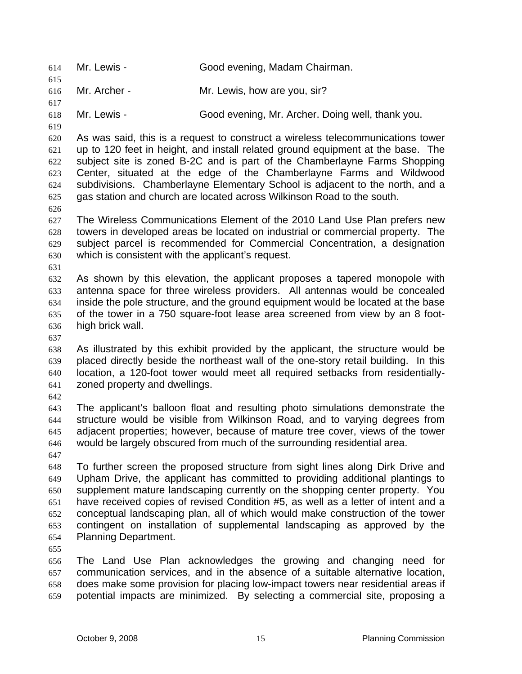614 Mr. Lewis - Good evening, Madam Chairman. 615 616 617 618 619 620 621 622 623 624 625 626 627 628 629 630 631 632 633 634 635 636 637 638 639 640 641 642 643 644 645 646 647 648 649 650 651 652 653 654 655 656 657 658 659 Mr. Archer - Mr. Lewis, how are you, sir? Mr. Lewis - Good evening, Mr. Archer. Doing well, thank you. As was said, this is a request to construct a wireless telecommunications tower up to 120 feet in height, and install related ground equipment at the base. The subject site is zoned B-2C and is part of the Chamberlayne Farms Shopping Center, situated at the edge of the Chamberlayne Farms and Wildwood subdivisions. Chamberlayne Elementary School is adjacent to the north, and a gas station and church are located across Wilkinson Road to the south. The Wireless Communications Element of the 2010 Land Use Plan prefers new towers in developed areas be located on industrial or commercial property. The subject parcel is recommended for Commercial Concentration, a designation which is consistent with the applicant's request. As shown by this elevation, the applicant proposes a tapered monopole with antenna space for three wireless providers. All antennas would be concealed inside the pole structure, and the ground equipment would be located at the base of the tower in a 750 square-foot lease area screened from view by an 8 foothigh brick wall. As illustrated by this exhibit provided by the applicant, the structure would be placed directly beside the northeast wall of the one-story retail building. In this location, a 120-foot tower would meet all required setbacks from residentiallyzoned property and dwellings. The applicant's balloon float and resulting photo simulations demonstrate the structure would be visible from Wilkinson Road, and to varying degrees from adjacent properties; however, because of mature tree cover, views of the tower would be largely obscured from much of the surrounding residential area. To further screen the proposed structure from sight lines along Dirk Drive and Upham Drive, the applicant has committed to providing additional plantings to supplement mature landscaping currently on the shopping center property. You have received copies of revised Condition #5, as well as a letter of intent and a conceptual landscaping plan, all of which would make construction of the tower contingent on installation of supplemental landscaping as approved by the Planning Department. The Land Use Plan acknowledges the growing and changing need for communication services, and in the absence of a suitable alternative location, does make some provision for placing low-impact towers near residential areas if potential impacts are minimized. By selecting a commercial site, proposing a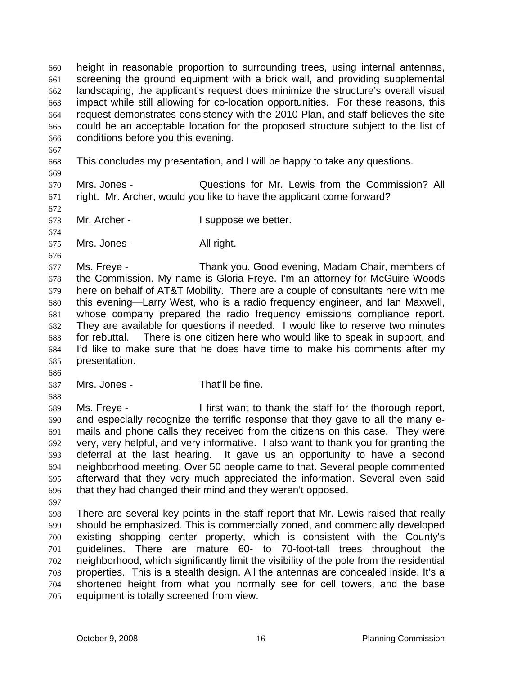height in reasonable proportion to surrounding trees, using internal antennas, screening the ground equipment with a brick wall, and providing supplemental landscaping, the applicant's request does minimize the structure's overall visual impact while still allowing for co-location opportunities. For these reasons, this request demonstrates consistency with the 2010 Plan, and staff believes the site could be an acceptable location for the proposed structure subject to the list of conditions before you this evening. 660 661 662 663 664 665 666

- 667 668
- 669 This concludes my presentation, and I will be happy to take any questions.

670 671 Mrs. Jones - Questions for Mr. Lewis from the Commission? All right. Mr. Archer, would you like to have the applicant come forward?

672

674

676

- 673 Mr. Archer - The University of the Universe we better.
- 675 Mrs. Jones - All right.

677 678 679 680 681 682 683 684 685 Ms. Freye - Thank you. Good evening, Madam Chair, members of the Commission. My name is Gloria Freye. I'm an attorney for McGuire Woods here on behalf of AT&T Mobility. There are a couple of consultants here with me this evening—Larry West, who is a radio frequency engineer, and Ian Maxwell, whose company prepared the radio frequency emissions compliance report. They are available for questions if needed. I would like to reserve two minutes for rebuttal. There is one citizen here who would like to speak in support, and I'd like to make sure that he does have time to make his comments after my presentation.

686

688

687 Mrs. Jones - That'll be fine.

689 690 691 692 693 694 695 696 Ms. Freye - I first want to thank the staff for the thorough report, and especially recognize the terrific response that they gave to all the many emails and phone calls they received from the citizens on this case. They were very, very helpful, and very informative. I also want to thank you for granting the deferral at the last hearing. It gave us an opportunity to have a second neighborhood meeting. Over 50 people came to that. Several people commented afterward that they very much appreciated the information. Several even said that they had changed their mind and they weren't opposed.

697

698 699 700 701 702 703 704 705 There are several key points in the staff report that Mr. Lewis raised that really should be emphasized. This is commercially zoned, and commercially developed existing shopping center property, which is consistent with the County's guidelines. There are mature 60- to 70-foot-tall trees throughout the neighborhood, which significantly limit the visibility of the pole from the residential properties. This is a stealth design. All the antennas are concealed inside. It's a shortened height from what you normally see for cell towers, and the base equipment is totally screened from view.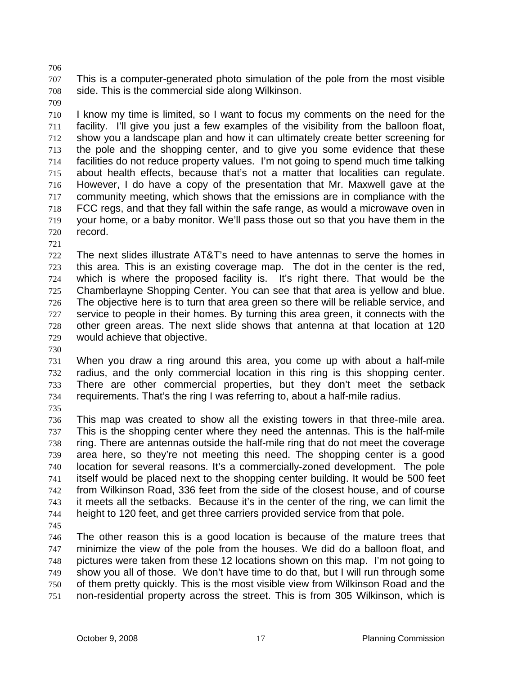707 708 This is a computer-generated photo simulation of the pole from the most visible side. This is the commercial side along Wilkinson.

709

706

710 711 712 713 714 715 716 717 718 719 720 I know my time is limited, so I want to focus my comments on the need for the facility. I'll give you just a few examples of the visibility from the balloon float, show you a landscape plan and how it can ultimately create better screening for the pole and the shopping center, and to give you some evidence that these facilities do not reduce property values. I'm not going to spend much time talking about health effects, because that's not a matter that localities can regulate. However, I do have a copy of the presentation that Mr. Maxwell gave at the community meeting, which shows that the emissions are in compliance with the FCC regs, and that they fall within the safe range, as would a microwave oven in your home, or a baby monitor. We'll pass those out so that you have them in the record.

721

722 723 724 725 726 727 728 729 The next slides illustrate AT&T's need to have antennas to serve the homes in this area. This is an existing coverage map. The dot in the center is the red, which is where the proposed facility is. It's right there. That would be the Chamberlayne Shopping Center. You can see that that area is yellow and blue. The objective here is to turn that area green so there will be reliable service, and service to people in their homes. By turning this area green, it connects with the other green areas. The next slide shows that antenna at that location at 120 would achieve that objective.

730

731 732 733 734 When you draw a ring around this area, you come up with about a half-mile radius, and the only commercial location in this ring is this shopping center. There are other commercial properties, but they don't meet the setback requirements. That's the ring I was referring to, about a half-mile radius.

735

736 737 738 739 740 741 742 743 744 This map was created to show all the existing towers in that three-mile area. This is the shopping center where they need the antennas. This is the half-mile ring. There are antennas outside the half-mile ring that do not meet the coverage area here, so they're not meeting this need. The shopping center is a good location for several reasons. It's a commercially-zoned development. The pole itself would be placed next to the shopping center building. It would be 500 feet from Wilkinson Road, 336 feet from the side of the closest house, and of course it meets all the setbacks. Because it's in the center of the ring, we can limit the height to 120 feet, and get three carriers provided service from that pole.

745

746 747 748 749 750 751 The other reason this is a good location is because of the mature trees that minimize the view of the pole from the houses. We did do a balloon float, and pictures were taken from these 12 locations shown on this map. I'm not going to show you all of those. We don't have time to do that, but I will run through some of them pretty quickly. This is the most visible view from Wilkinson Road and the non-residential property across the street. This is from 305 Wilkinson, which is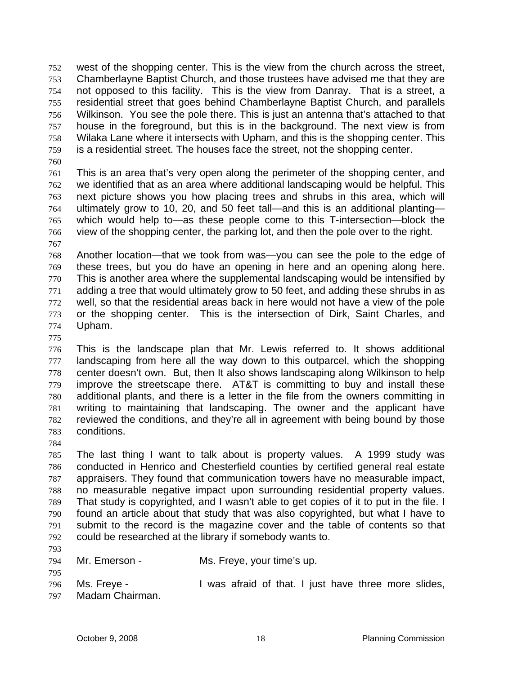west of the shopping center. This is the view from the church across the street, Chamberlayne Baptist Church, and those trustees have advised me that they are not opposed to this facility. This is the view from Danray. That is a street, a residential street that goes behind Chamberlayne Baptist Church, and parallels Wilkinson. You see the pole there. This is just an antenna that's attached to that house in the foreground, but this is in the background. The next view is from Wilaka Lane where it intersects with Upham, and this is the shopping center. This is a residential street. The houses face the street, not the shopping center. 752 753 754 755 756 757 758 759

760

761 762 763 764 765 766 This is an area that's very open along the perimeter of the shopping center, and we identified that as an area where additional landscaping would be helpful. This next picture shows you how placing trees and shrubs in this area, which will ultimately grow to 10, 20, and 50 feet tall—and this is an additional planting which would help to—as these people come to this T-intersection—block the view of the shopping center, the parking lot, and then the pole over to the right.

767

768 769 770 771 772 773 774 Another location—that we took from was—you can see the pole to the edge of these trees, but you do have an opening in here and an opening along here. This is another area where the supplemental landscaping would be intensified by adding a tree that would ultimately grow to 50 feet, and adding these shrubs in as well, so that the residential areas back in here would not have a view of the pole or the shopping center. This is the intersection of Dirk, Saint Charles, and Upham.

775

776 777 778 779 780 781 782 783 This is the landscape plan that Mr. Lewis referred to. It shows additional landscaping from here all the way down to this outparcel, which the shopping center doesn't own. But, then It also shows landscaping along Wilkinson to help improve the streetscape there. AT&T is committing to buy and install these additional plants, and there is a letter in the file from the owners committing in writing to maintaining that landscaping. The owner and the applicant have reviewed the conditions, and they're all in agreement with being bound by those conditions.

784

785 786 787 788 789 790 791 792 The last thing I want to talk about is property values. A 1999 study was conducted in Henrico and Chesterfield counties by certified general real estate appraisers. They found that communication towers have no measurable impact, no measurable negative impact upon surrounding residential property values. That study is copyrighted, and I wasn't able to get copies of it to put in the file. I found an article about that study that was also copyrighted, but what I have to submit to the record is the magazine cover and the table of contents so that could be researched at the library if somebody wants to.

793

794 795 Mr. Emerson - Ms. Freye, your time's up.

796 Ms. Freye - The Mas afraid of that. I just have three more slides,

797 Madam Chairman.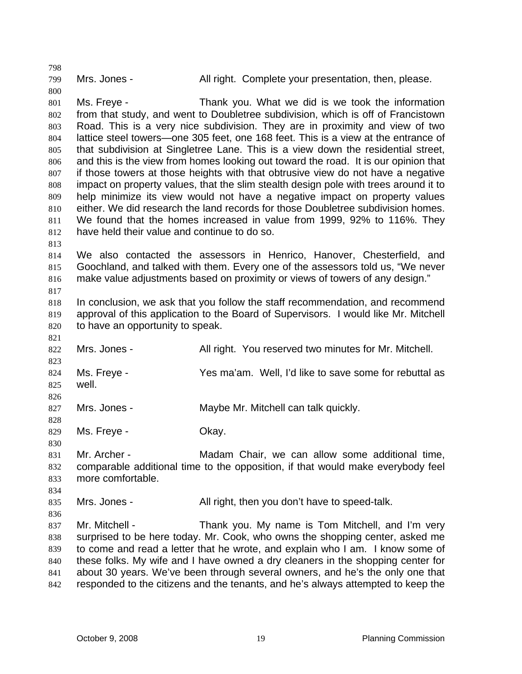799

798

800

Mrs. Jones - The All right. Complete your presentation, then, please.

801 802 803 804 805 806 807 808 809 810 811 812 Ms. Freye - Thank you. What we did is we took the information from that study, and went to Doubletree subdivision, which is off of Francistown Road. This is a very nice subdivision. They are in proximity and view of two lattice steel towers—one 305 feet, one 168 feet. This is a view at the entrance of that subdivision at Singletree Lane. This is a view down the residential street, and this is the view from homes looking out toward the road. It is our opinion that if those towers at those heights with that obtrusive view do not have a negative impact on property values, that the slim stealth design pole with trees around it to help minimize its view would not have a negative impact on property values either. We did research the land records for those Doubletree subdivision homes. We found that the homes increased in value from 1999, 92% to 116%. They have held their value and continue to do so.

813

817

828

830

834

836

814 815 816 We also contacted the assessors in Henrico, Hanover, Chesterfield, and Goochland, and talked with them. Every one of the assessors told us, "We never make value adjustments based on proximity or views of towers of any design."

818 819 820 In conclusion, we ask that you follow the staff recommendation, and recommend approval of this application to the Board of Supervisors. I would like Mr. Mitchell to have an opportunity to speak.

821 822 823 824 825 826 Mrs. Jones - All right. You reserved two minutes for Mr. Mitchell. Ms. Freye - Yes ma'am. Well, I'd like to save some for rebuttal as well.

827 Mrs. Jones - Maybe Mr. Mitchell can talk quickly.

829 Ms. Freye - Chay.

831 832 833 Mr. Archer - Madam Chair, we can allow some additional time, comparable additional time to the opposition, if that would make everybody feel more comfortable.

835 Mrs. Jones - All right, then you don't have to speed-talk.

837 838 839 840 841 842 Mr. Mitchell - Thank you. My name is Tom Mitchell, and I'm very surprised to be here today. Mr. Cook, who owns the shopping center, asked me to come and read a letter that he wrote, and explain who I am. I know some of these folks. My wife and I have owned a dry cleaners in the shopping center for about 30 years. We've been through several owners, and he's the only one that responded to the citizens and the tenants, and he's always attempted to keep the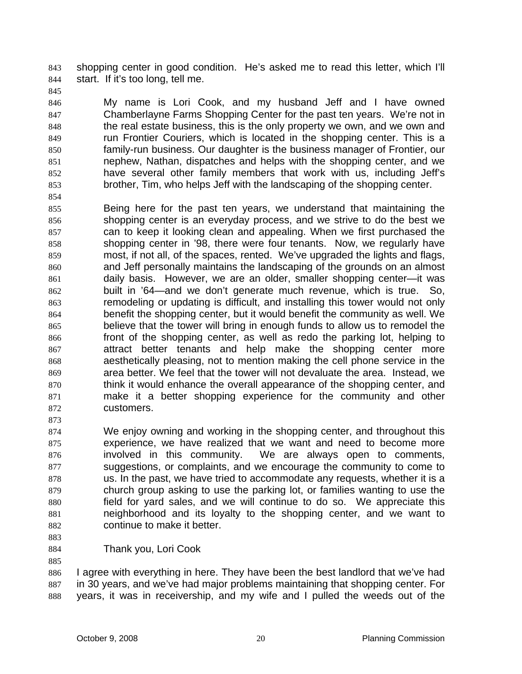shopping center in good condition. He's asked me to read this letter, which I'll start. If it's too long, tell me. 843 844

846 847 848 849 850 851 852 853 My name is Lori Cook, and my husband Jeff and I have owned Chamberlayne Farms Shopping Center for the past ten years. We're not in the real estate business, this is the only property we own, and we own and run Frontier Couriers, which is located in the shopping center. This is a family-run business. Our daughter is the business manager of Frontier, our nephew, Nathan, dispatches and helps with the shopping center, and we have several other family members that work with us, including Jeff's brother, Tim, who helps Jeff with the landscaping of the shopping center.

- 855 856 857 858 859 860 861 862 863 864 865 866 867 868 869 870 871 872 Being here for the past ten years, we understand that maintaining the shopping center is an everyday process, and we strive to do the best we can to keep it looking clean and appealing. When we first purchased the shopping center in '98, there were four tenants. Now, we regularly have most, if not all, of the spaces, rented. We've upgraded the lights and flags, and Jeff personally maintains the landscaping of the grounds on an almost daily basis. However, we are an older, smaller shopping center—it was built in '64—and we don't generate much revenue, which is true. So, remodeling or updating is difficult, and installing this tower would not only benefit the shopping center, but it would benefit the community as well. We believe that the tower will bring in enough funds to allow us to remodel the front of the shopping center, as well as redo the parking lot, helping to attract better tenants and help make the shopping center more aesthetically pleasing, not to mention making the cell phone service in the area better. We feel that the tower will not devaluate the area. Instead, we think it would enhance the overall appearance of the shopping center, and make it a better shopping experience for the community and other customers.
- 874 875 876 877 878 879 880 881 882 We enjoy owning and working in the shopping center, and throughout this experience, we have realized that we want and need to become more involved in this community. We are always open to comments, suggestions, or complaints, and we encourage the community to come to us. In the past, we have tried to accommodate any requests, whether it is a church group asking to use the parking lot, or families wanting to use the field for yard sales, and we will continue to do so. We appreciate this neighborhood and its loyalty to the shopping center, and we want to continue to make it better.
- 883 884

873

845

854

- Thank you, Lori Cook
- 885

886 887 888 I agree with everything in here. They have been the best landlord that we've had in 30 years, and we've had major problems maintaining that shopping center. For years, it was in receivership, and my wife and I pulled the weeds out of the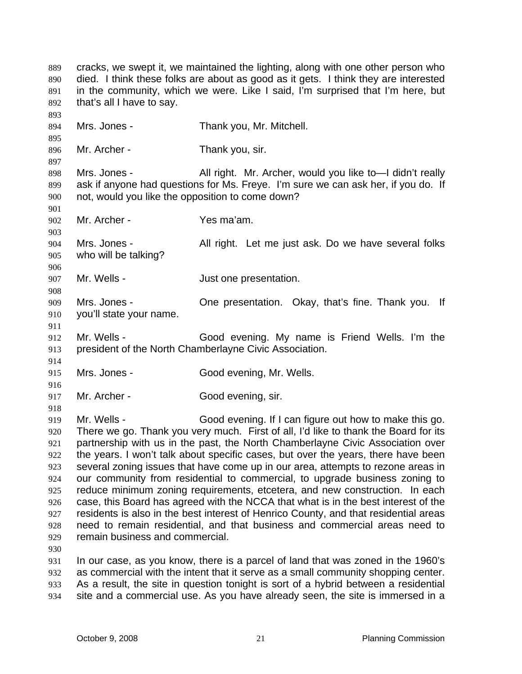cracks, we swept it, we maintained the lighting, along with one other person who died. I think these folks are about as good as it gets. I think they are interested in the community, which we were. Like I said, I'm surprised that I'm here, but that's all I have to say. 889 890 891 892 893 894 895 896 897 898 899 900 901 902 903 904 905 906 907 908 909 910 911 912 913 914 915 916 917 918 919 920 921 922 923 924 925 926 927 928 929 930 931 932 Mrs. Jones - Thank you, Mr. Mitchell. Mr. Archer - Thank you, sir. Mrs. Jones - All right. Mr. Archer, would you like to-I didn't really ask if anyone had questions for Ms. Freye. I'm sure we can ask her, if you do. If not, would you like the opposition to come down? Mr. Archer - Yes ma'am. Mrs. Jones - All right. Let me just ask. Do we have several folks who will be talking? Mr. Wells - The Solution of Just one presentation. Mrs. Jones - Che presentation. Okay, that's fine. Thank you. If you'll state your name. Mr. Wells - Good evening. My name is Friend Wells. I'm the president of the North Chamberlayne Civic Association. Mrs. Jones - Good evening, Mr. Wells. Mr. Archer - Good evening, sir. Mr. Wells - Good evening. If I can figure out how to make this go. There we go. Thank you very much. First of all, I'd like to thank the Board for its partnership with us in the past, the North Chamberlayne Civic Association over the years. I won't talk about specific cases, but over the years, there have been several zoning issues that have come up in our area, attempts to rezone areas in our community from residential to commercial, to upgrade business zoning to reduce minimum zoning requirements, etcetera, and new construction. In each case, this Board has agreed with the NCCA that what is in the best interest of the residents is also in the best interest of Henrico County, and that residential areas need to remain residential, and that business and commercial areas need to remain business and commercial. In our case, as you know, there is a parcel of land that was zoned in the 1960's as commercial with the intent that it serve as a small community shopping center.

933 934 As a result, the site in question tonight is sort of a hybrid between a residential site and a commercial use. As you have already seen, the site is immersed in a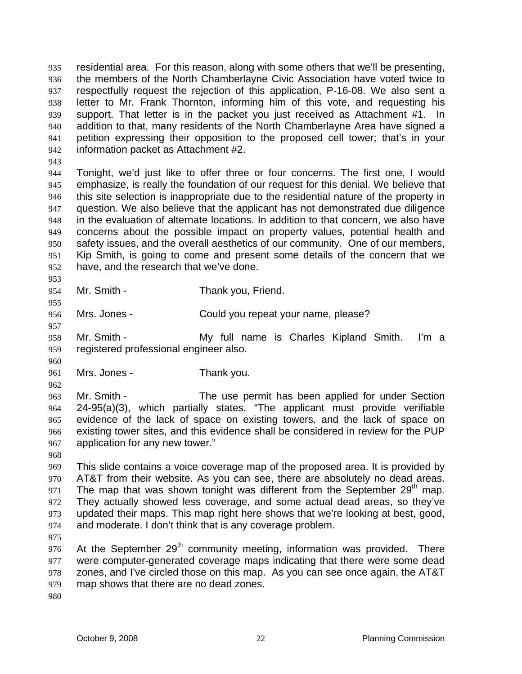residential area. For this reason, along with some others that we'll be presenting, the members of the North Chamberlayne Civic Association have voted twice to respectfully request the rejection of this application, P-16-08. We also sent a letter to Mr. Frank Thornton, informing him of this vote, and requesting his support. That letter is in the packet you just received as Attachment #1. In addition to that, many residents of the North Chamberlayne Area have signed a petition expressing their opposition to the proposed cell tower; that's in your information packet as Attachment #2. 935 936 937 938 939 940 941 942

943

944 945 946 947 948 949 950 951 952 Tonight, we'd just like to offer three or four concerns. The first one, I would emphasize, is really the foundation of our request for this denial. We believe that this site selection is inappropriate due to the residential nature of the property in question. We also believe that the applicant has not demonstrated due diligence in the evaluation of alternate locations. In addition to that concern, we also have concerns about the possible impact on property values, potential health and safety issues, and the overall aesthetics of our community. One of our members, Kip Smith, is going to come and present some details of the concern that we have, and the research that we've done.

954 Mr. Smith - Thank you, Friend.

956 Mrs. Jones - Could you repeat your name, please?

958 959 Mr. Smith - My full name is Charles Kipland Smith. I'm a registered professional engineer also.

961 Mrs. Jones - Thank you.

962

960

953

955

957

963 964 965 966 967 Mr. Smith - The use permit has been applied for under Section 24-95(a)(3), which partially states, "The applicant must provide verifiable evidence of the lack of space on existing towers, and the lack of space on existing tower sites, and this evidence shall be considered in review for the PUP application for any new tower."

968

969 970 971 972 973 974 This slide contains a voice coverage map of the proposed area. It is provided by AT&T from their website. As you can see, there are absolutely no dead areas. The map that was shown tonight was different from the September  $29<sup>th</sup>$  map. They actually showed less coverage, and some actual dead areas, so they've updated their maps. This map right here shows that we're looking at best, good, and moderate. I don't think that is any coverage problem.

975

976 977 978 979 At the September  $29<sup>th</sup>$  community meeting, information was provided. There were computer-generated coverage maps indicating that there were some dead zones, and I've circled those on this map. As you can see once again, the AT&T map shows that there are no dead zones.

980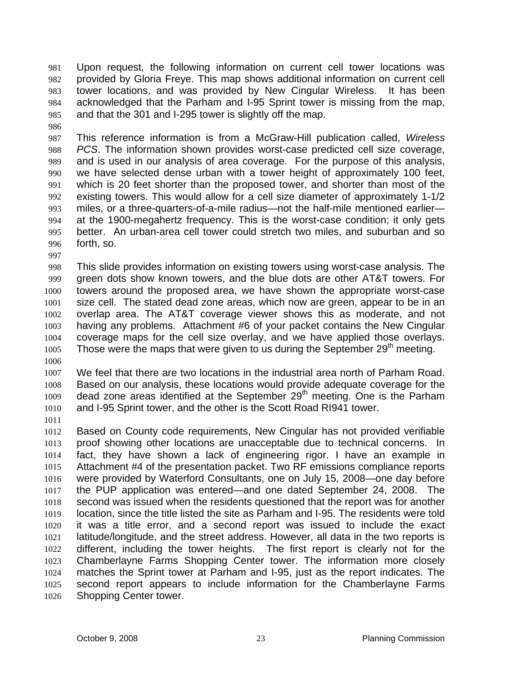Upon request, the following information on current cell tower locations was provided by Gloria Freye. This map shows additional information on current cell tower locations, and was provided by New Cingular Wireless. It has been acknowledged that the Parham and I-95 Sprint tower is missing from the map, and that the 301 and I-295 tower is slightly off the map. 981 982 983 984 985

987 988 989 990 991 992 993 994 995 996 This reference information is from a McGraw-Hill publication called, *Wireless PCS*. The information shown provides worst-case predicted cell size coverage, and is used in our analysis of area coverage. For the purpose of this analysis, we have selected dense urban with a tower height of approximately 100 feet, which is 20 feet shorter than the proposed tower, and shorter than most of the existing towers. This would allow for a cell size diameter of approximately 1-1/2 miles, or a three-quarters-of-a-mile radius—not the half-mile mentioned earlier at the 1900-megahertz frequency. This is the worst-case condition; it only gets better. An urban-area cell tower could stretch two miles, and suburban and so forth, so.

997

986

998 999 1000 1001 1002 1003 1004 1005 This slide provides information on existing towers using worst-case analysis. The green dots show known towers, and the blue dots are other AT&T towers. For towers around the proposed area, we have shown the appropriate worst-case size cell. The stated dead zone areas, which now are green, appear to be in an overlap area. The AT&T coverage viewer shows this as moderate, and not having any problems. Attachment #6 of your packet contains the New Cingular coverage maps for the cell size overlay, and we have applied those overlays. Those were the maps that were given to us during the September  $29<sup>th</sup>$  meeting.

1007 1008 1009 1010 We feel that there are two locations in the industrial area north of Parham Road. Based on our analysis, these locations would provide adequate coverage for the dead zone areas identified at the September 29<sup>th</sup> meeting. One is the Parham and I-95 Sprint tower, and the other is the Scott Road RI941 tower.

1011

1006

1012 1013 1014 1015 1016 1017 1018 1019 1020 1021 1022 1023 1024 1025 1026 Based on County code requirements, New Cingular has not provided verifiable proof showing other locations are unacceptable due to technical concerns. In fact, they have shown a lack of engineering rigor. I have an example in Attachment #4 of the presentation packet. Two RF emissions compliance reports were provided by Waterford Consultants, one on July 15, 2008—one day before the PUP application was entered—and one dated September 24, 2008. The second was issued when the residents questioned that the report was for another location, since the title listed the site as Parham and I-95. The residents were told it was a title error, and a second report was issued to include the exact latitude/longitude, and the street address. However, all data in the two reports is different, including the tower heights. The first report is clearly not for the Chamberlayne Farms Shopping Center tower. The information more closely matches the Sprint tower at Parham and I-95, just as the report indicates. The second report appears to include information for the Chamberlayne Farms Shopping Center tower.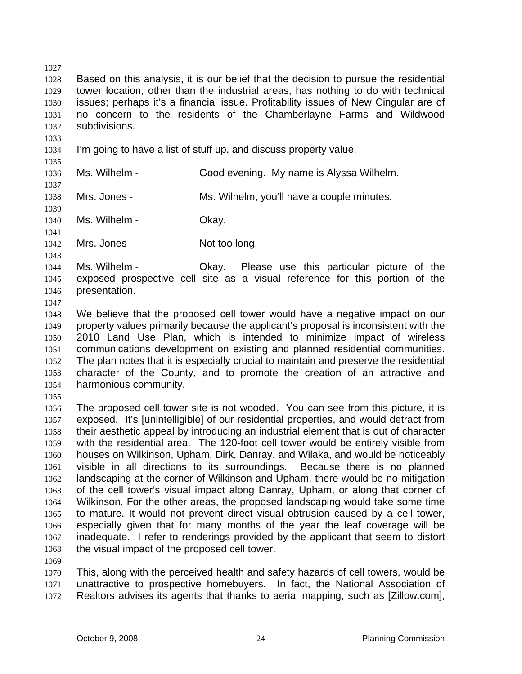1027 1028 1029 1030 1031 1032 1033 1034 1035 1036 1037 1038 1039 1040 1041 1042 1043 1044 1045 1046 1047 1048 1049 1050 1051 1052 1053 1054 1055 1056 1057 1058 1059 1060 1061 1062 1063 1064 1065 1066 1067 1068 1069 1070 1071 Based on this analysis, it is our belief that the decision to pursue the residential tower location, other than the industrial areas, has nothing to do with technical issues; perhaps it's a financial issue. Profitability issues of New Cingular are of no concern to the residents of the Chamberlayne Farms and Wildwood subdivisions. I'm going to have a list of stuff up, and discuss property value. Ms. Wilhelm - Good evening. My name is Alyssa Wilhelm. Mrs. Jones - Ms. Wilhelm, you'll have a couple minutes. Ms. Wilhelm - Ckay. Mrs. Jones - Not too long. Ms. Wilhelm - Okay. Please use this particular picture of the exposed prospective cell site as a visual reference for this portion of the presentation. We believe that the proposed cell tower would have a negative impact on our property values primarily because the applicant's proposal is inconsistent with the 2010 Land Use Plan, which is intended to minimize impact of wireless communications development on existing and planned residential communities. The plan notes that it is especially crucial to maintain and preserve the residential character of the County, and to promote the creation of an attractive and harmonious community. The proposed cell tower site is not wooded. You can see from this picture, it is exposed. It's [unintelligible] of our residential properties, and would detract from their aesthetic appeal by introducing an industrial element that is out of character with the residential area. The 120-foot cell tower would be entirely visible from houses on Wilkinson, Upham, Dirk, Danray, and Wilaka, and would be noticeably visible in all directions to its surroundings. Because there is no planned landscaping at the corner of Wilkinson and Upham, there would be no mitigation of the cell tower's visual impact along Danray, Upham, or along that corner of Wilkinson. For the other areas, the proposed landscaping would take some time to mature. It would not prevent direct visual obtrusion caused by a cell tower, especially given that for many months of the year the leaf coverage will be inadequate. I refer to renderings provided by the applicant that seem to distort the visual impact of the proposed cell tower. This, along with the perceived health and safety hazards of cell towers, would be unattractive to prospective homebuyers. In fact, the National Association of

1072 Realtors advises its agents that thanks to aerial mapping, such as [Zillow.com],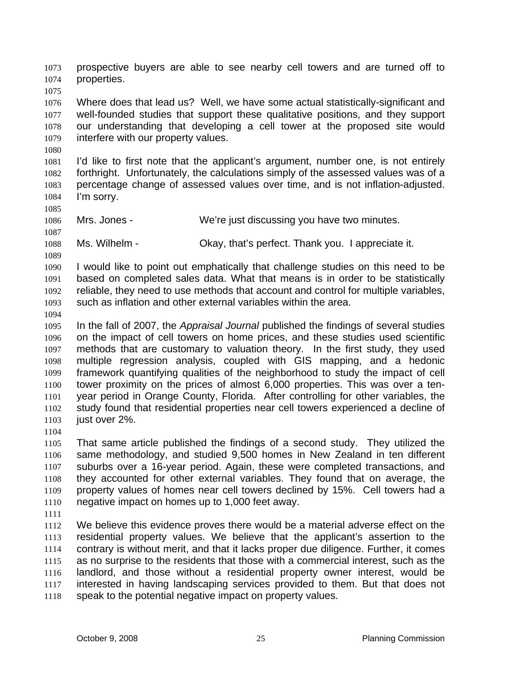prospective buyers are able to see nearby cell towers and are turned off to properties. 1073 1074

1076 1077 1078 1079 Where does that lead us? Well, we have some actual statistically-significant and well-founded studies that support these qualitative positions, and they support our understanding that developing a cell tower at the proposed site would interfere with our property values.

1081 1082 1083 1084 I'd like to first note that the applicant's argument, number one, is not entirely forthright. Unfortunately, the calculations simply of the assessed values was of a percentage change of assessed values over time, and is not inflation-adjusted. I'm sorry.

1086 Mrs. Jones - We're just discussing you have two minutes.

1088 Ms. Wilhelm - Ckay, that's perfect. Thank you. I appreciate it.

1090 1091 1092 1093 I would like to point out emphatically that challenge studies on this need to be based on completed sales data. What that means is in order to be statistically reliable, they need to use methods that account and control for multiple variables, such as inflation and other external variables within the area.

1094

1075

1080

1085

1087

1089

1095 1096 1097 1098 1099 1100 1101 1102 1103 In the fall of 2007, the *Appraisal Journal* published the findings of several studies on the impact of cell towers on home prices, and these studies used scientific methods that are customary to valuation theory. In the first study, they used multiple regression analysis, coupled with GIS mapping, and a hedonic framework quantifying qualities of the neighborhood to study the impact of cell tower proximity on the prices of almost 6,000 properties. This was over a tenyear period in Orange County, Florida. After controlling for other variables, the study found that residential properties near cell towers experienced a decline of just over 2%.

1104

1105 1106 1107 1108 1109 1110 That same article published the findings of a second study. They utilized the same methodology, and studied 9,500 homes in New Zealand in ten different suburbs over a 16-year period. Again, these were completed transactions, and they accounted for other external variables. They found that on average, the property values of homes near cell towers declined by 15%. Cell towers had a negative impact on homes up to 1,000 feet away.

1111

1112 1113 1114 1115 1116 1117 1118 We believe this evidence proves there would be a material adverse effect on the residential property values. We believe that the applicant's assertion to the contrary is without merit, and that it lacks proper due diligence. Further, it comes as no surprise to the residents that those with a commercial interest, such as the landlord, and those without a residential property owner interest, would be interested in having landscaping services provided to them. But that does not speak to the potential negative impact on property values.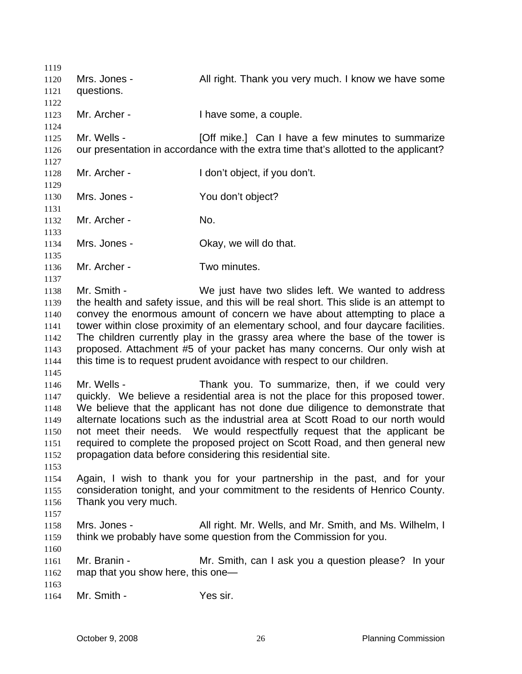1119 1120 1121 1122 1123 1124 1125 1126 1127 1128 1129 1130 1131 1132 1133 1134 1135 1136 1137 1138 1139 1140 1141 1142 1143 1144 1145 1146 1147 1148 1149 1150 1151 1152 1153 1154 1155 1156 1157 1158 1159 1160 1161 1162 1163 1164 Mrs. Jones - The Mull right. Thank you very much. I know we have some questions. Mr. Archer - Thave some, a couple. Mr. Wells - **Example 2** [Off mike.] Can I have a few minutes to summarize our presentation in accordance with the extra time that's allotted to the applicant? Mr. Archer - I don't object, if you don't. Mrs. Jones - You don't object? Mr. Archer - No. Mrs. Jones - Ckay, we will do that. Mr. Archer - Two minutes. Mr. Smith - We just have two slides left. We wanted to address the health and safety issue, and this will be real short. This slide is an attempt to convey the enormous amount of concern we have about attempting to place a tower within close proximity of an elementary school, and four daycare facilities. The children currently play in the grassy area where the base of the tower is proposed. Attachment #5 of your packet has many concerns. Our only wish at this time is to request prudent avoidance with respect to our children. Mr. Wells - Thank you. To summarize, then, if we could very quickly. We believe a residential area is not the place for this proposed tower. We believe that the applicant has not done due diligence to demonstrate that alternate locations such as the industrial area at Scott Road to our north would not meet their needs. We would respectfully request that the applicant be required to complete the proposed project on Scott Road, and then general new propagation data before considering this residential site. Again, I wish to thank you for your partnership in the past, and for your consideration tonight, and your commitment to the residents of Henrico County. Thank you very much. Mrs. Jones - The All right. Mr. Wells, and Mr. Smith, and Ms. Wilhelm, I think we probably have some question from the Commission for you. Mr. Branin - **Mr.** Smith, can I ask you a question please? In your map that you show here, this one— Mr. Smith - Yes sir.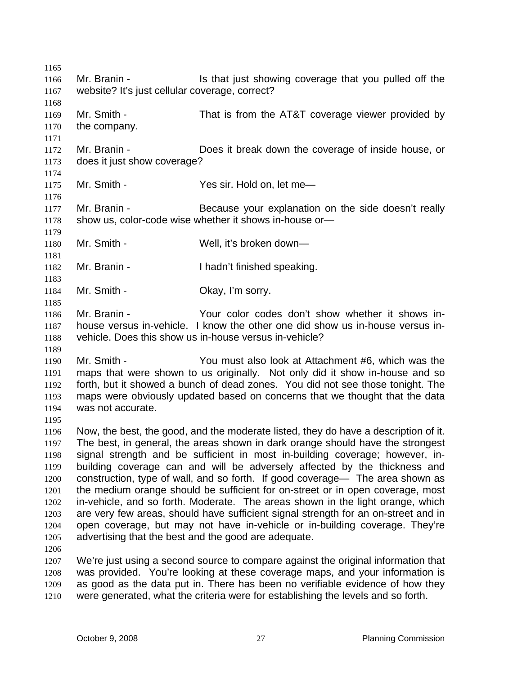1165 1166 1167 1168 1169 1170 1171 1172 1173 1174 1175 1176 1177 1178 1179 1180 1181 1182 1183 1184 1185 1186 1187 1188 1189 1190 1191 1192 1193 1194 1195 1196 1197 1198 1199 1200 1201 1202 1203 1204 1205 1206 1207 1208 1209 1210 Mr. Branin - The State is that just showing coverage that you pulled off the website? It's just cellular coverage, correct? Mr. Smith - That is from the AT&T coverage viewer provided by the company. Mr. Branin - **Does it break down the coverage of inside house**, or does it just show coverage? Mr. Smith - Yes sir. Hold on, let me-Mr. Branin - Because your explanation on the side doesn't really show us, color-code wise whether it shows in-house or— Mr. Smith - Well, it's broken down— Mr. Branin - Thadn't finished speaking. Mr. Smith - Chay, I'm sorry. Mr. Branin - The Your color codes don't show whether it shows inhouse versus in-vehicle. I know the other one did show us in-house versus invehicle. Does this show us in-house versus in-vehicle? Mr. Smith - You must also look at Attachment #6, which was the maps that were shown to us originally. Not only did it show in-house and so forth, but it showed a bunch of dead zones. You did not see those tonight. The maps were obviously updated based on concerns that we thought that the data was not accurate. Now, the best, the good, and the moderate listed, they do have a description of it. The best, in general, the areas shown in dark orange should have the strongest signal strength and be sufficient in most in-building coverage; however, inbuilding coverage can and will be adversely affected by the thickness and construction, type of wall, and so forth. If good coverage— The area shown as the medium orange should be sufficient for on-street or in open coverage, most in-vehicle, and so forth. Moderate. The areas shown in the light orange, which are very few areas, should have sufficient signal strength for an on-street and in open coverage, but may not have in-vehicle or in-building coverage. They're advertising that the best and the good are adequate. We're just using a second source to compare against the original information that was provided. You're looking at these coverage maps, and your information is as good as the data put in. There has been no verifiable evidence of how they were generated, what the criteria were for establishing the levels and so forth.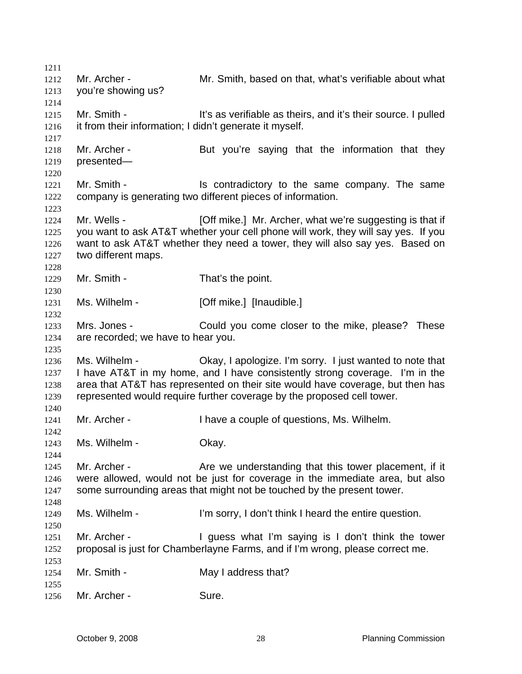| 1211 |                                                                              |                                                                                   |
|------|------------------------------------------------------------------------------|-----------------------------------------------------------------------------------|
| 1212 | Mr. Archer -                                                                 | Mr. Smith, based on that, what's verifiable about what                            |
| 1213 | you're showing us?                                                           |                                                                                   |
| 1214 |                                                                              |                                                                                   |
| 1215 | Mr. Smith -                                                                  | It's as verifiable as theirs, and it's their source. I pulled                     |
| 1216 | it from their information; I didn't generate it myself.                      |                                                                                   |
| 1217 |                                                                              |                                                                                   |
| 1218 | Mr. Archer -                                                                 | But you're saying that the information that they                                  |
| 1219 | presented-                                                                   |                                                                                   |
| 1220 |                                                                              |                                                                                   |
| 1221 | Mr. Smith -                                                                  | Is contradictory to the same company. The same                                    |
| 1222 |                                                                              | company is generating two different pieces of information.                        |
| 1223 |                                                                              |                                                                                   |
|      | Mr. Wells -                                                                  | [Off mike.] Mr. Archer, what we're suggesting is that if                          |
| 1224 |                                                                              |                                                                                   |
| 1225 |                                                                              | you want to ask AT&T whether your cell phone will work, they will say yes. If you |
| 1226 |                                                                              | want to ask AT&T whether they need a tower, they will also say yes. Based on      |
| 1227 | two different maps.                                                          |                                                                                   |
| 1228 |                                                                              |                                                                                   |
| 1229 | Mr. Smith -                                                                  | That's the point.                                                                 |
| 1230 |                                                                              |                                                                                   |
| 1231 | Ms. Wilhelm -                                                                | [Off mike.] [Inaudible.]                                                          |
| 1232 |                                                                              |                                                                                   |
| 1233 | Mrs. Jones -                                                                 | Could you come closer to the mike, please? These                                  |
| 1234 | are recorded; we have to hear you.                                           |                                                                                   |
| 1235 |                                                                              |                                                                                   |
| 1236 | Ms. Wilhelm -                                                                | Okay, I apologize. I'm sorry. I just wanted to note that                          |
| 1237 |                                                                              | I have AT&T in my home, and I have consistently strong coverage. I'm in the       |
| 1238 |                                                                              | area that AT&T has represented on their site would have coverage, but then has    |
| 1239 |                                                                              | represented would require further coverage by the proposed cell tower.            |
| 1240 |                                                                              |                                                                                   |
| 1241 | Mr. Archer -                                                                 | I have a couple of questions, Ms. Wilhelm.                                        |
| 1242 |                                                                              |                                                                                   |
| 1243 | Ms. Wilhelm -                                                                | Okay.                                                                             |
| 1244 |                                                                              |                                                                                   |
| 1245 | Mr. Archer -                                                                 | Are we understanding that this tower placement, if it                             |
| 1246 | were allowed, would not be just for coverage in the immediate area, but also |                                                                                   |
| 1247 |                                                                              | some surrounding areas that might not be touched by the present tower.            |
| 1248 |                                                                              |                                                                                   |
| 1249 | Ms. Wilhelm -                                                                | I'm sorry, I don't think I heard the entire question.                             |
| 1250 |                                                                              |                                                                                   |
| 1251 | Mr. Archer -                                                                 | I guess what I'm saying is I don't think the tower                                |
| 1252 |                                                                              | proposal is just for Chamberlayne Farms, and if I'm wrong, please correct me.     |
| 1253 |                                                                              |                                                                                   |
| 1254 | Mr. Smith -                                                                  | May I address that?                                                               |
| 1255 |                                                                              |                                                                                   |
| 1256 | Mr. Archer -                                                                 | Sure.                                                                             |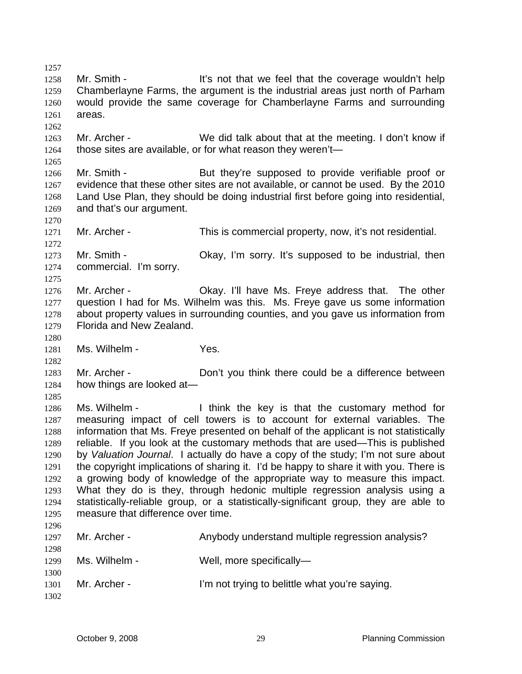1257 1258 1259 1260 1261 1262 1263 1264 1265 1266 1267 1268 1269 1270 1271 1272 1273 1274 1275 1276 1277 1278 1279 1280 1281 1282 1283 1284 1285 1286 1287 1288 1289 1290 1291 1292 1293 1294 1295 1296 1297 1298 1299 1300 1301 1302 Mr. Smith - It's not that we feel that the coverage wouldn't help Chamberlayne Farms, the argument is the industrial areas just north of Parham would provide the same coverage for Chamberlayne Farms and surrounding areas. Mr. Archer - We did talk about that at the meeting. I don't know if those sites are available, or for what reason they weren't— Mr. Smith - But they're supposed to provide verifiable proof or evidence that these other sites are not available, or cannot be used. By the 2010 Land Use Plan, they should be doing industrial first before going into residential, and that's our argument. Mr. Archer - This is commercial property, now, it's not residential. Mr. Smith - Okay, I'm sorry. It's supposed to be industrial, then commercial. I'm sorry. Mr. Archer - Chay. I'll have Ms. Freye address that. The other question I had for Ms. Wilhelm was this. Ms. Freye gave us some information about property values in surrounding counties, and you gave us information from Florida and New Zealand. Ms. Wilhelm - Yes. Mr. Archer - Don't you think there could be a difference between how things are looked at— Ms. Wilhelm - Think the key is that the customary method for measuring impact of cell towers is to account for external variables. The information that Ms. Freye presented on behalf of the applicant is not statistically reliable. If you look at the customary methods that are used—This is published by *Valuation Journal*. I actually do have a copy of the study; I'm not sure about the copyright implications of sharing it. I'd be happy to share it with you. There is a growing body of knowledge of the appropriate way to measure this impact. What they do is they, through hedonic multiple regression analysis using a statistically-reliable group, or a statistically-significant group, they are able to measure that difference over time. Mr. Archer - **Anybody understand multiple regression analysis?** Ms. Wilhelm - Well, more specifically-Mr. Archer - I'm not trying to belittle what you're saying.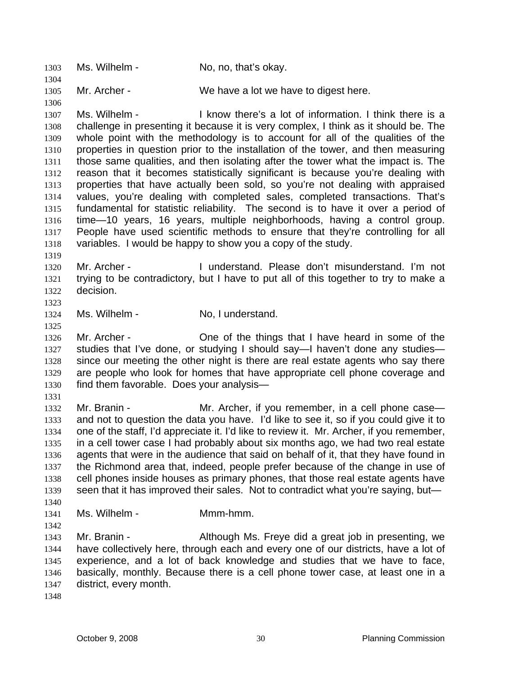1303 Ms. Wilhelm - No, no, that's okay. 1304 1305 1306 1307 1308 1309 1310 1311 1312 1313 1314 1315 1316 1317 1318 1319 1320 1321 1322 1323 1324 1325 1326 1327 1328 1329 1330 1331 1332 1333 1334 1335 1336 1337 1338 1339 1340 1341 1342 1343 1344 1345 1346 1347 1348 Mr. Archer - We have a lot we have to digest here. Ms. Wilhelm - The I know there's a lot of information. I think there is a challenge in presenting it because it is very complex, I think as it should be. The whole point with the methodology is to account for all of the qualities of the properties in question prior to the installation of the tower, and then measuring those same qualities, and then isolating after the tower what the impact is. The reason that it becomes statistically significant is because you're dealing with properties that have actually been sold, so you're not dealing with appraised values, you're dealing with completed sales, completed transactions. That's fundamental for statistic reliability. The second is to have it over a period of time—10 years, 16 years, multiple neighborhoods, having a control group. People have used scientific methods to ensure that they're controlling for all variables. I would be happy to show you a copy of the study. Mr. Archer - I understand. Please don't misunderstand. I'm not trying to be contradictory, but I have to put all of this together to try to make a decision. Ms. Wilhelm - No, I understand. Mr. Archer - Che of the things that I have heard in some of the studies that I've done, or studying I should say—I haven't done any studies since our meeting the other night is there are real estate agents who say there are people who look for homes that have appropriate cell phone coverage and find them favorable. Does your analysis— Mr. Branin - The Mr. Archer, if you remember, in a cell phone case and not to question the data you have. I'd like to see it, so if you could give it to one of the staff, I'd appreciate it. I'd like to review it. Mr. Archer, if you remember, in a cell tower case I had probably about six months ago, we had two real estate agents that were in the audience that said on behalf of it, that they have found in the Richmond area that, indeed, people prefer because of the change in use of cell phones inside houses as primary phones, that those real estate agents have seen that it has improved their sales. Not to contradict what you're saying, but-Ms. Wilhelm - Mmm-hmm. Mr. Branin - **Although Ms. Freye did a great job in presenting, we** have collectively here, through each and every one of our districts, have a lot of experience, and a lot of back knowledge and studies that we have to face, basically, monthly. Because there is a cell phone tower case, at least one in a district, every month.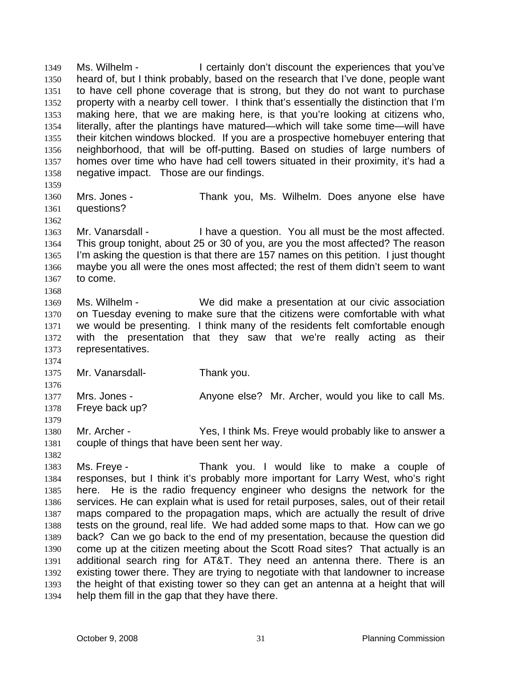Ms. Wilhelm - I certainly don't discount the experiences that you've heard of, but I think probably, based on the research that I've done, people want to have cell phone coverage that is strong, but they do not want to purchase property with a nearby cell tower. I think that's essentially the distinction that I'm making here, that we are making here, is that you're looking at citizens who, literally, after the plantings have matured—which will take some time—will have their kitchen windows blocked. If you are a prospective homebuyer entering that neighborhood, that will be off-putting. Based on studies of large numbers of homes over time who have had cell towers situated in their proximity, it's had a negative impact. Those are our findings. 1349 1350 1351 1352 1353 1354 1355 1356 1357 1358 1359

- 1360 1361 Mrs. Jones - Thank you, Ms. Wilhelm. Does anyone else have questions?
- 1363 1364 1365 1366 1367 1368 Mr. Vanarsdall - I have a question. You all must be the most affected. This group tonight, about 25 or 30 of you, are you the most affected? The reason I'm asking the question is that there are 157 names on this petition. I just thought maybe you all were the ones most affected; the rest of them didn't seem to want to come.
- 1369 1370 1371 1372 1373 Ms. Wilhelm - We did make a presentation at our civic association on Tuesday evening to make sure that the citizens were comfortable with what we would be presenting. I think many of the residents felt comfortable enough with the presentation that they saw that we're really acting as their representatives.

1375 Mr. Vanarsdall-<br>
Thank you.

1362

1374

1379

1382

1376 1377 1378 Mrs. Jones - Anyone else? Mr. Archer, would you like to call Ms. Freye back up?

- 1380 1381 Mr. Archer - Yes, I think Ms. Freye would probably like to answer a couple of things that have been sent her way.
- 1383 1384 1385 1386 1387 1388 1389 1390 1391 1392 1393 1394 Ms. Freye - Thank you. I would like to make a couple of responses, but I think it's probably more important for Larry West, who's right here. He is the radio frequency engineer who designs the network for the services. He can explain what is used for retail purposes, sales, out of their retail maps compared to the propagation maps, which are actually the result of drive tests on the ground, real life. We had added some maps to that. How can we go back? Can we go back to the end of my presentation, because the question did come up at the citizen meeting about the Scott Road sites? That actually is an additional search ring for AT&T. They need an antenna there. There is an existing tower there. They are trying to negotiate with that landowner to increase the height of that existing tower so they can get an antenna at a height that will help them fill in the gap that they have there.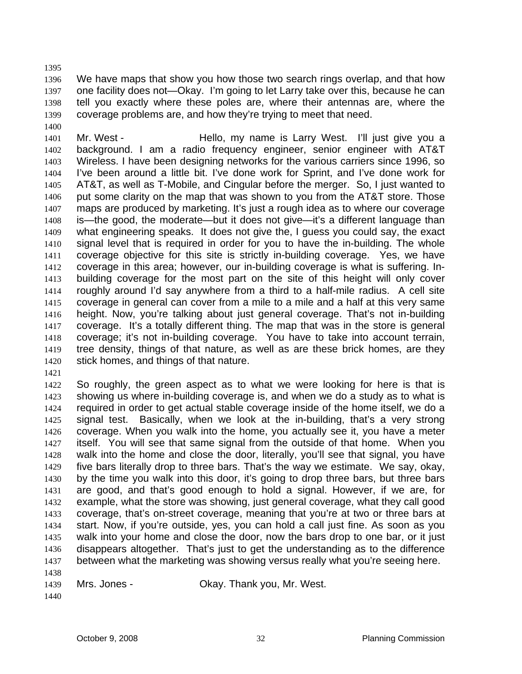1396 1397 1398 1399 We have maps that show you how those two search rings overlap, and that how one facility does not—Okay. I'm going to let Larry take over this, because he can tell you exactly where these poles are, where their antennas are, where the coverage problems are, and how they're trying to meet that need.

1401 1402 1403 1404 1405 1406 1407 1408 1409 1410 1411 1412 1413 1414 1415 1416 1417 1418 1419 1420 Mr. West - Hello, my name is Larry West. I'll just give you a background. I am a radio frequency engineer, senior engineer with AT&T Wireless. I have been designing networks for the various carriers since 1996, so I've been around a little bit. I've done work for Sprint, and I've done work for AT&T, as well as T-Mobile, and Cingular before the merger. So, I just wanted to put some clarity on the map that was shown to you from the AT&T store. Those maps are produced by marketing. It's just a rough idea as to where our coverage is—the good, the moderate—but it does not give—it's a different language than what engineering speaks. It does not give the, I guess you could say, the exact signal level that is required in order for you to have the in-building. The whole coverage objective for this site is strictly in-building coverage. Yes, we have coverage in this area; however, our in-building coverage is what is suffering. Inbuilding coverage for the most part on the site of this height will only cover roughly around I'd say anywhere from a third to a half-mile radius. A cell site coverage in general can cover from a mile to a mile and a half at this very same height. Now, you're talking about just general coverage. That's not in-building coverage. It's a totally different thing. The map that was in the store is general coverage; it's not in-building coverage. You have to take into account terrain, tree density, things of that nature, as well as are these brick homes, are they stick homes, and things of that nature.

1421

1395

1400

1422 1423 1424 1425 1426 1427 1428 1429 1430 1431 1432 1433 1434 1435 1436 1437 1438 So roughly, the green aspect as to what we were looking for here is that is showing us where in-building coverage is, and when we do a study as to what is required in order to get actual stable coverage inside of the home itself, we do a signal test. Basically, when we look at the in-building, that's a very strong coverage. When you walk into the home, you actually see it, you have a meter itself. You will see that same signal from the outside of that home. When you walk into the home and close the door, literally, you'll see that signal, you have five bars literally drop to three bars. That's the way we estimate. We say, okay, by the time you walk into this door, it's going to drop three bars, but three bars are good, and that's good enough to hold a signal. However, if we are, for example, what the store was showing, just general coverage, what they call good coverage, that's on-street coverage, meaning that you're at two or three bars at start. Now, if you're outside, yes, you can hold a call just fine. As soon as you walk into your home and close the door, now the bars drop to one bar, or it just disappears altogether. That's just to get the understanding as to the difference between what the marketing was showing versus really what you're seeing here.

1439 Mrs. Jones - **Chay. Thank you, Mr. West.** 

1440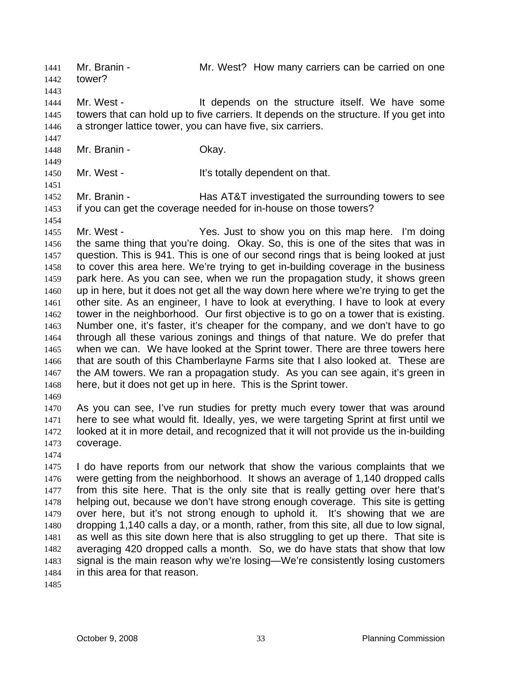Mr. Branin - Mr. West? How many carriers can be carried on one tower? 1441 1442 1443 1444 1445 1446 1447 1448 1449 1450 1451 1452 1453 1454 1455 1456 1457 1458 1459 1460 1461 1462 1463 1464 1465 1466 1467 1468 1469 1470 1471 1472 1473 1474 1475 1476 1477 1478 1479 1480 1481 1482 1483 1484 1485 Mr. West - The Structure itself. We have some lt depends on the structure itself. We have some towers that can hold up to five carriers. It depends on the structure. If you get into a stronger lattice tower, you can have five, six carriers. Mr. Branin - Ckay. Mr. West - The Muslim Heath Hills totally dependent on that. Mr. Branin - **Has AT&T** investigated the surrounding towers to see if you can get the coverage needed for in-house on those towers? Mr. West - Yes. Just to show you on this map here. I'm doing the same thing that you're doing. Okay. So, this is one of the sites that was in question. This is 941. This is one of our second rings that is being looked at just to cover this area here. We're trying to get in-building coverage in the business park here. As you can see, when we run the propagation study, it shows green up in here, but it does not get all the way down here where we're trying to get the other site. As an engineer, I have to look at everything. I have to look at every tower in the neighborhood. Our first objective is to go on a tower that is existing. Number one, it's faster, it's cheaper for the company, and we don't have to go through all these various zonings and things of that nature. We do prefer that when we can. We have looked at the Sprint tower. There are three towers here that are south of this Chamberlayne Farms site that I also looked at. These are the AM towers. We ran a propagation study. As you can see again, it's green in here, but it does not get up in here. This is the Sprint tower. As you can see, I've run studies for pretty much every tower that was around here to see what would fit. Ideally, yes, we were targeting Sprint at first until we looked at it in more detail, and recognized that it will not provide us the in-building coverage. I do have reports from our network that show the various complaints that we were getting from the neighborhood. It shows an average of 1,140 dropped calls from this site here. That is the only site that is really getting over here that's helping out, because we don't have strong enough coverage. This site is getting over here, but it's not strong enough to uphold it. It's showing that we are dropping 1,140 calls a day, or a month, rather, from this site, all due to low signal, as well as this site down here that is also struggling to get up there. That site is averaging 420 dropped calls a month. So, we do have stats that show that low signal is the main reason why we're losing—We're consistently losing customers in this area for that reason.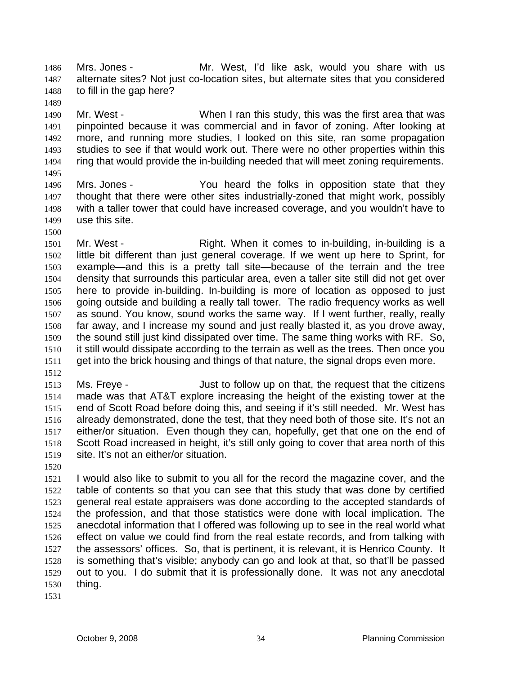Mrs. Jones - The Mr. West, I'd like ask, would you share with us alternate sites? Not just co-location sites, but alternate sites that you considered to fill in the gap here? 1486 1487 1488

1490 1491 1492 1493 1494 Mr. West - When I ran this study, this was the first area that was pinpointed because it was commercial and in favor of zoning. After looking at more, and running more studies, I looked on this site, ran some propagation studies to see if that would work out. There were no other properties within this ring that would provide the in-building needed that will meet zoning requirements.

1495

1489

- 1496 1497 1498 1499 Mrs. Jones - You heard the folks in opposition state that they thought that there were other sites industrially-zoned that might work, possibly with a taller tower that could have increased coverage, and you wouldn't have to use this site.
- 1500

1501 1502 1503 1504 1505 1506 1507 1508 1509 1510 1511 Mr. West - The Right. When it comes to in-building, in-building is a little bit different than just general coverage. If we went up here to Sprint, for example—and this is a pretty tall site—because of the terrain and the tree density that surrounds this particular area, even a taller site still did not get over here to provide in-building. In-building is more of location as opposed to just going outside and building a really tall tower. The radio frequency works as well as sound. You know, sound works the same way. If I went further, really, really far away, and I increase my sound and just really blasted it, as you drove away, the sound still just kind dissipated over time. The same thing works with RF. So, it still would dissipate according to the terrain as well as the trees. Then once you get into the brick housing and things of that nature, the signal drops even more.

1512

1513 1514 1515 1516 1517 1518 1519 Ms. Freye - Just to follow up on that, the request that the citizens made was that AT&T explore increasing the height of the existing tower at the end of Scott Road before doing this, and seeing if it's still needed. Mr. West has already demonstrated, done the test, that they need both of those site. It's not an either/or situation. Even though they can, hopefully, get that one on the end of Scott Road increased in height, it's still only going to cover that area north of this site. It's not an either/or situation.

1520

1521 1522 1523 1524 1525 1526 1527 1528 1529 1530 I would also like to submit to you all for the record the magazine cover, and the table of contents so that you can see that this study that was done by certified general real estate appraisers was done according to the accepted standards of the profession, and that those statistics were done with local implication. The anecdotal information that I offered was following up to see in the real world what effect on value we could find from the real estate records, and from talking with the assessors' offices. So, that is pertinent, it is relevant, it is Henrico County. It is something that's visible; anybody can go and look at that, so that'll be passed out to you. I do submit that it is professionally done. It was not any anecdotal thing.

1531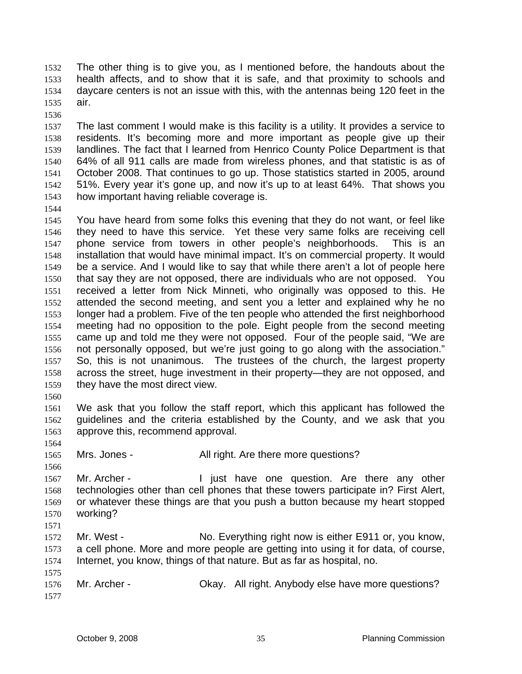The other thing is to give you, as I mentioned before, the handouts about the health affects, and to show that it is safe, and that proximity to schools and daycare centers is not an issue with this, with the antennas being 120 feet in the air. 1532 1533 1534 1535

1536

1544

1537 1538 1539 1540 1541 1542 1543 The last comment I would make is this facility is a utility. It provides a service to residents. It's becoming more and more important as people give up their landlines. The fact that I learned from Henrico County Police Department is that 64% of all 911 calls are made from wireless phones, and that statistic is as of October 2008. That continues to go up. Those statistics started in 2005, around 51%. Every year it's gone up, and now it's up to at least 64%. That shows you how important having reliable coverage is.

- 1545 1546 1547 1548 1549 1550 1551 1552 1553 1554 1555 1556 1557 1558 1559 You have heard from some folks this evening that they do not want, or feel like they need to have this service. Yet these very same folks are receiving cell phone service from towers in other people's neighborhoods. This is an installation that would have minimal impact. It's on commercial property. It would be a service. And I would like to say that while there aren't a lot of people here that say they are not opposed, there are individuals who are not opposed. You received a letter from Nick Minneti, who originally was opposed to this. He attended the second meeting, and sent you a letter and explained why he no longer had a problem. Five of the ten people who attended the first neighborhood meeting had no opposition to the pole. Eight people from the second meeting came up and told me they were not opposed. Four of the people said, "We are not personally opposed, but we're just going to go along with the association." So, this is not unanimous. The trustees of the church, the largest property across the street, huge investment in their property—they are not opposed, and they have the most direct view.
- 1560

1561 1562 1563 We ask that you follow the staff report, which this applicant has followed the guidelines and the criteria established by the County, and we ask that you approve this, recommend approval.

1564

1566

- 1565
- Mrs. Jones The Mullist All right. Are there more questions?

1567 1568 1569 1570 1571 Mr. Archer - I just have one question. Are there any other technologies other than cell phones that these towers participate in? First Alert, or whatever these things are that you push a button because my heart stopped working?

1572 1573 1574 Mr. West - No. Everything right now is either E911 or, you know, a cell phone. More and more people are getting into using it for data, of course, Internet, you know, things of that nature. But as far as hospital, no.

1575 1576 1577 Mr. Archer - Okay. All right. Anybody else have more questions?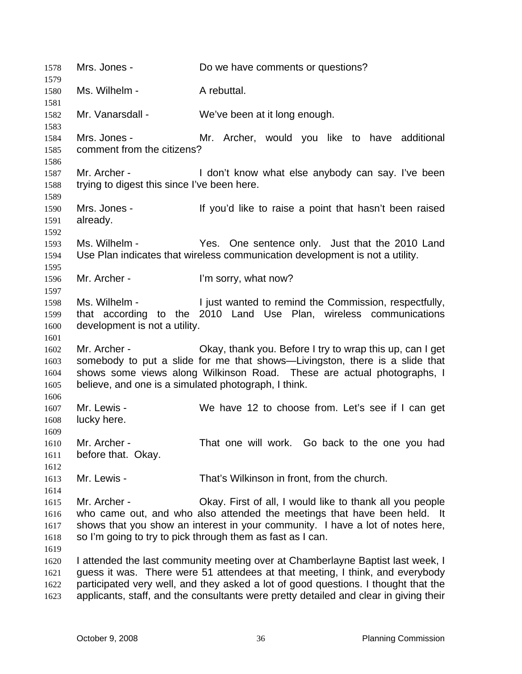1578 Mrs. Jones - Do we have comments or questions? 1579 1580 1581 1582 1583 1584 1585 1586 1587 1588 1589 1590 1591 1592 1593 1594 1595 1596 1597 1598 1599 1600 1601 1602 1603 1604 1605 1606 1607 1608 1609 1610 1611 1612 1613 1614 1615 1616 1617 1618 1619 1620 1621 1622 1623 Ms. Wilhelm - A rebuttal. Mr. Vanarsdall - We've been at it long enough. Mrs. Jones - Mr. Archer, would you like to have additional comment from the citizens? Mr. Archer - The Muslim Con't know what else anybody can say. I've been trying to digest this since I've been here. Mrs. Jones - If you'd like to raise a point that hasn't been raised already. Ms. Wilhelm - The Yes. One sentence only. Just that the 2010 Land Use Plan indicates that wireless communication development is not a utility. Mr. Archer - The I'm sorry, what now? Ms. Wilhelm - The I just wanted to remind the Commission, respectfully, that according to the 2010 Land Use Plan, wireless communications development is not a utility. Mr. Archer - Ckay, thank you. Before I try to wrap this up, can I get somebody to put a slide for me that shows—Livingston, there is a slide that shows some views along Wilkinson Road. These are actual photographs, I believe, and one is a simulated photograph, I think. Mr. Lewis - We have 12 to choose from. Let's see if I can get lucky here. Mr. Archer - That one will work. Go back to the one you had before that. Okay. Mr. Lewis - That's Wilkinson in front, from the church. Mr. Archer - Ckay. First of all, I would like to thank all you people who came out, and who also attended the meetings that have been held. It shows that you show an interest in your community. I have a lot of notes here, so I'm going to try to pick through them as fast as I can. I attended the last community meeting over at Chamberlayne Baptist last week, I guess it was. There were 51 attendees at that meeting, I think, and everybody participated very well, and they asked a lot of good questions. I thought that the applicants, staff, and the consultants were pretty detailed and clear in giving their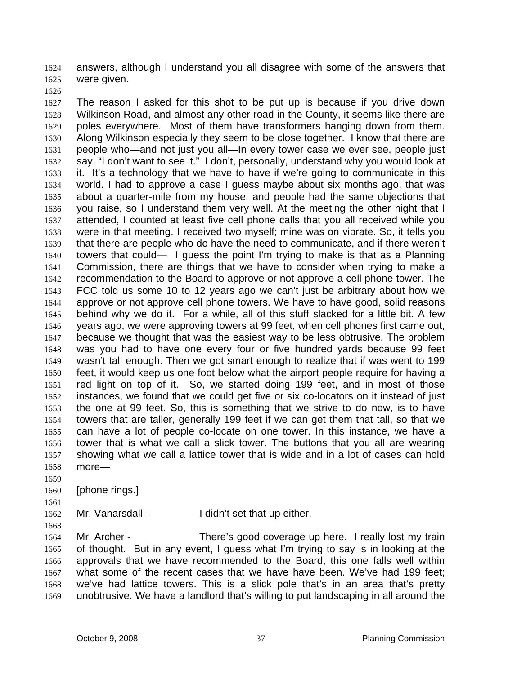answers, although I understand you all disagree with some of the answers that were given. 1624 1625

1626

1627 1628 1629 1630 1631 1632 1633 1634 1635 1636 1637 1638 1639 1640 1641 1642 1643 1644 1645 1646 1647 1648 1649 1650 1651 1652 1653 1654 1655 1656 1657 1658 The reason I asked for this shot to be put up is because if you drive down Wilkinson Road, and almost any other road in the County, it seems like there are poles everywhere. Most of them have transformers hanging down from them. Along Wilkinson especially they seem to be close together. I know that there are people who—and not just you all—In every tower case we ever see, people just say, "I don't want to see it." I don't, personally, understand why you would look at it. It's a technology that we have to have if we're going to communicate in this world. I had to approve a case I guess maybe about six months ago, that was about a quarter-mile from my house, and people had the same objections that you raise, so I understand them very well. At the meeting the other night that I attended, I counted at least five cell phone calls that you all received while you were in that meeting. I received two myself; mine was on vibrate. So, it tells you that there are people who do have the need to communicate, and if there weren't towers that could— I guess the point I'm trying to make is that as a Planning Commission, there are things that we have to consider when trying to make a recommendation to the Board to approve or not approve a cell phone tower. The FCC told us some 10 to 12 years ago we can't just be arbitrary about how we approve or not approve cell phone towers. We have to have good, solid reasons behind why we do it. For a while, all of this stuff slacked for a little bit. A few years ago, we were approving towers at 99 feet, when cell phones first came out, because we thought that was the easiest way to be less obtrusive. The problem was you had to have one every four or five hundred yards because 99 feet wasn't tall enough. Then we got smart enough to realize that if was went to 199 feet, it would keep us one foot below what the airport people require for having a red light on top of it. So, we started doing 199 feet, and in most of those instances, we found that we could get five or six co-locators on it instead of just the one at 99 feet. So, this is something that we strive to do now, is to have towers that are taller, generally 199 feet if we can get them that tall, so that we can have a lot of people co-locate on one tower. In this instance, we have a tower that is what we call a slick tower. The buttons that you all are wearing showing what we call a lattice tower that is wide and in a lot of cases can hold more—

1659

1661

1663

1660 [phone rings.]

1662 Mr. Vanarsdall - I didn't set that up either.

1664 1665 1666 1667 1668 1669 Mr. Archer - There's good coverage up here. I really lost my train of thought. But in any event, I guess what I'm trying to say is in looking at the approvals that we have recommended to the Board, this one falls well within what some of the recent cases that we have have been. We've had 199 feet; we've had lattice towers. This is a slick pole that's in an area that's pretty unobtrusive. We have a landlord that's willing to put landscaping in all around the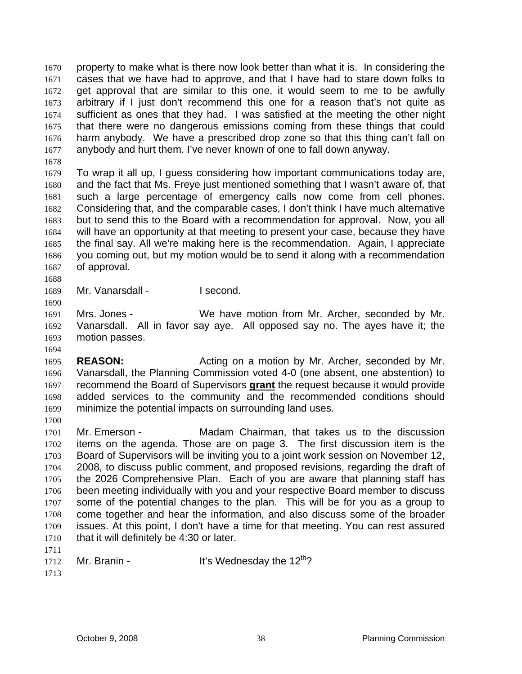property to make what is there now look better than what it is. In considering the cases that we have had to approve, and that I have had to stare down folks to get approval that are similar to this one, it would seem to me to be awfully arbitrary if I just don't recommend this one for a reason that's not quite as sufficient as ones that they had. I was satisfied at the meeting the other night that there were no dangerous emissions coming from these things that could harm anybody. We have a prescribed drop zone so that this thing can't fall on anybody and hurt them. I've never known of one to fall down anyway. 1670 1671 1672 1673 1674 1675 1676 1677

1678

1679 1680 1681 1682 1683 1684 1685 1686 1687 To wrap it all up, I guess considering how important communications today are, and the fact that Ms. Freye just mentioned something that I wasn't aware of, that such a large percentage of emergency calls now come from cell phones. Considering that, and the comparable cases, I don't think I have much alternative but to send this to the Board with a recommendation for approval. Now, you all will have an opportunity at that meeting to present your case, because they have the final say. All we're making here is the recommendation. Again, I appreciate you coming out, but my motion would be to send it along with a recommendation of approval.

1688

1690

1694

1700

1689 Mr. Vanarsdall - I second.

1691 1692 1693 Mrs. Jones - We have motion from Mr. Archer, seconded by Mr. Vanarsdall. All in favor say aye. All opposed say no. The ayes have it; the motion passes.

1695 1696 **REASON:** Acting on a motion by Mr. Archer, seconded by Mr. Vanarsdall, the Planning Commission voted 4-0 (one absent, one abstention) to recommend the Board of Supervisors **grant** the request because it would provide added services to the community and the recommended conditions should minimize the potential impacts on surrounding land uses. 1697 1698 1699

1701 1702 1703 1704 1705 1706 1707 1708 1709 1710 Mr. Emerson - Madam Chairman, that takes us to the discussion items on the agenda. Those are on page 3. The first discussion item is the Board of Supervisors will be inviting you to a joint work session on November 12, 2008, to discuss public comment, and proposed revisions, regarding the draft of the 2026 Comprehensive Plan. Each of you are aware that planning staff has been meeting individually with you and your respective Board member to discuss some of the potential changes to the plan. This will be for you as a group to come together and hear the information, and also discuss some of the broader issues. At this point, I don't have a time for that meeting. You can rest assured that it will definitely be 4:30 or later.

- 1711
- 1712

Mr. Branin -  $\mu$  It's Wednesday the 12<sup>th</sup>?

1713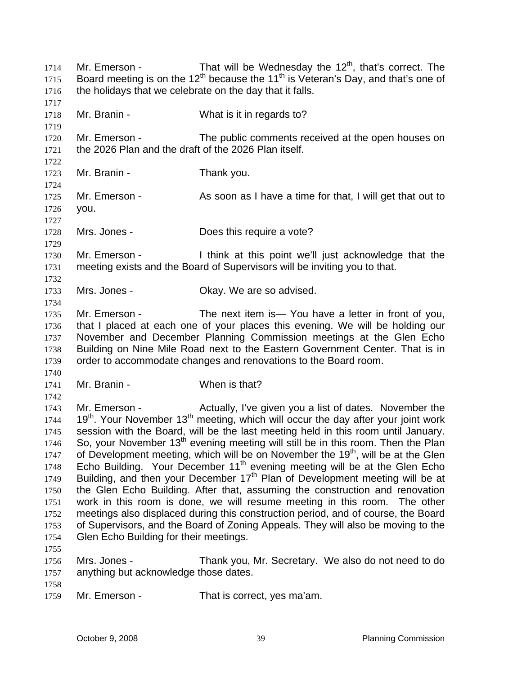Mr. Emerson - That will be Wednesday the  $12<sup>th</sup>$ , that's correct. The Board meeting is on the 12<sup>th</sup> because the 11<sup>th</sup> is Veteran's Day, and that's one of the holidays that we celebrate on the day that it falls. 1714 1715 1716 1717 1718 1719 1720 1721 1722 1723 1724 1725 1726 1727 1728 1729 1730 1731 1732 1733 1734 1735 1736 1737 1738 1739 1740 1741 1742 1743 1744 1745 1746 1747 1748 1749 1750 1751 1752 1753 1754 1755 1756 1757 1758 1759 Mr. Branin - What is it in regards to? Mr. Emerson - The public comments received at the open houses on the 2026 Plan and the draft of the 2026 Plan itself. Mr. Branin - Thank you. Mr. Emerson - As soon as I have a time for that, I will get that out to you. Mrs. Jones - **Does this require a vote?** Mr. Emerson - I think at this point we'll just acknowledge that the meeting exists and the Board of Supervisors will be inviting you to that. Mrs. Jones - Ckay. We are so advised. Mr. Emerson - The next item is - You have a letter in front of you, that I placed at each one of your places this evening. We will be holding our November and December Planning Commission meetings at the Glen Echo Building on Nine Mile Road next to the Eastern Government Center. That is in order to accommodate changes and renovations to the Board room. Mr. Branin - When is that? Mr. Emerson - The Actually, I've given you a list of dates. November the  $19<sup>th</sup>$ . Your November  $13<sup>th</sup>$  meeting, which will occur the day after your joint work session with the Board, will be the last meeting held in this room until January. So, your November  $13<sup>th</sup>$  evening meeting will still be in this room. Then the Plan of Development meeting, which will be on November the 19<sup>th</sup>, will be at the Glen Echo Building. Your December  $11<sup>th</sup>$  evening meeting will be at the Glen Echo Building, and then your December  $17<sup>th</sup>$  Plan of Development meeting will be at the Glen Echo Building. After that, assuming the construction and renovation work in this room is done, we will resume meeting in this room. The other meetings also displaced during this construction period, and of course, the Board of Supervisors, and the Board of Zoning Appeals. They will also be moving to the Glen Echo Building for their meetings. Mrs. Jones - Thank you, Mr. Secretary. We also do not need to do anything but acknowledge those dates. Mr. Emerson - That is correct, yes ma'am.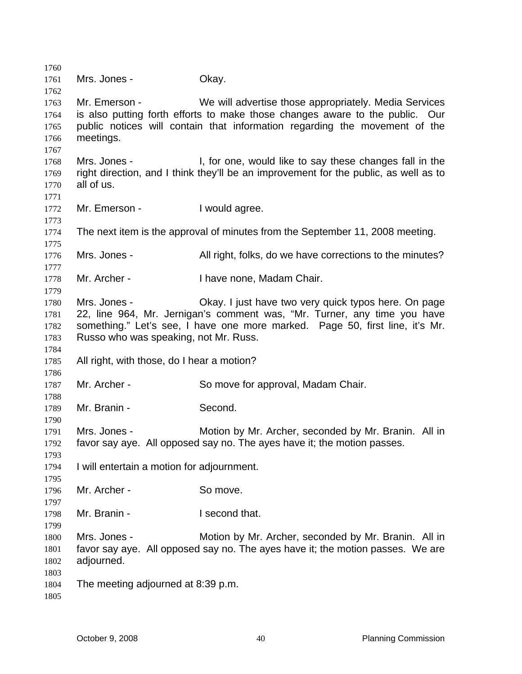Mrs. Jones - Chay. Mr. Emerson - We will advertise those appropriately. Media Services is also putting forth efforts to make those changes aware to the public. Our public notices will contain that information regarding the movement of the meetings. Mrs. Jones - The State of the Netwould like to say these changes fall in the right direction, and I think they'll be an improvement for the public, as well as to all of us. Mr. Emerson - I would agree. The next item is the approval of minutes from the September 11, 2008 meeting. Mrs. Jones - All right, folks, do we have corrections to the minutes? Mr. Archer - I have none, Madam Chair. Mrs. Jones - Okay. I just have two very quick typos here. On page 22, line 964, Mr. Jernigan's comment was, "Mr. Turner, any time you have something." Let's see, I have one more marked. Page 50, first line, it's Mr. Russo who was speaking, not Mr. Russ. All right, with those, do I hear a motion? Mr. Archer - So move for approval, Madam Chair. Mr. Branin - Second. Mrs. Jones - **Motion by Mr. Archer, seconded by Mr. Branin.** All in favor say aye. All opposed say no. The ayes have it; the motion passes. I will entertain a motion for adjournment. Mr. Archer - So move. Mr. Branin - The Recond that. Mrs. Jones - Motion by Mr. Archer, seconded by Mr. Branin. All in favor say aye. All opposed say no. The ayes have it; the motion passes. We are adjourned. The meeting adjourned at 8:39 p.m.